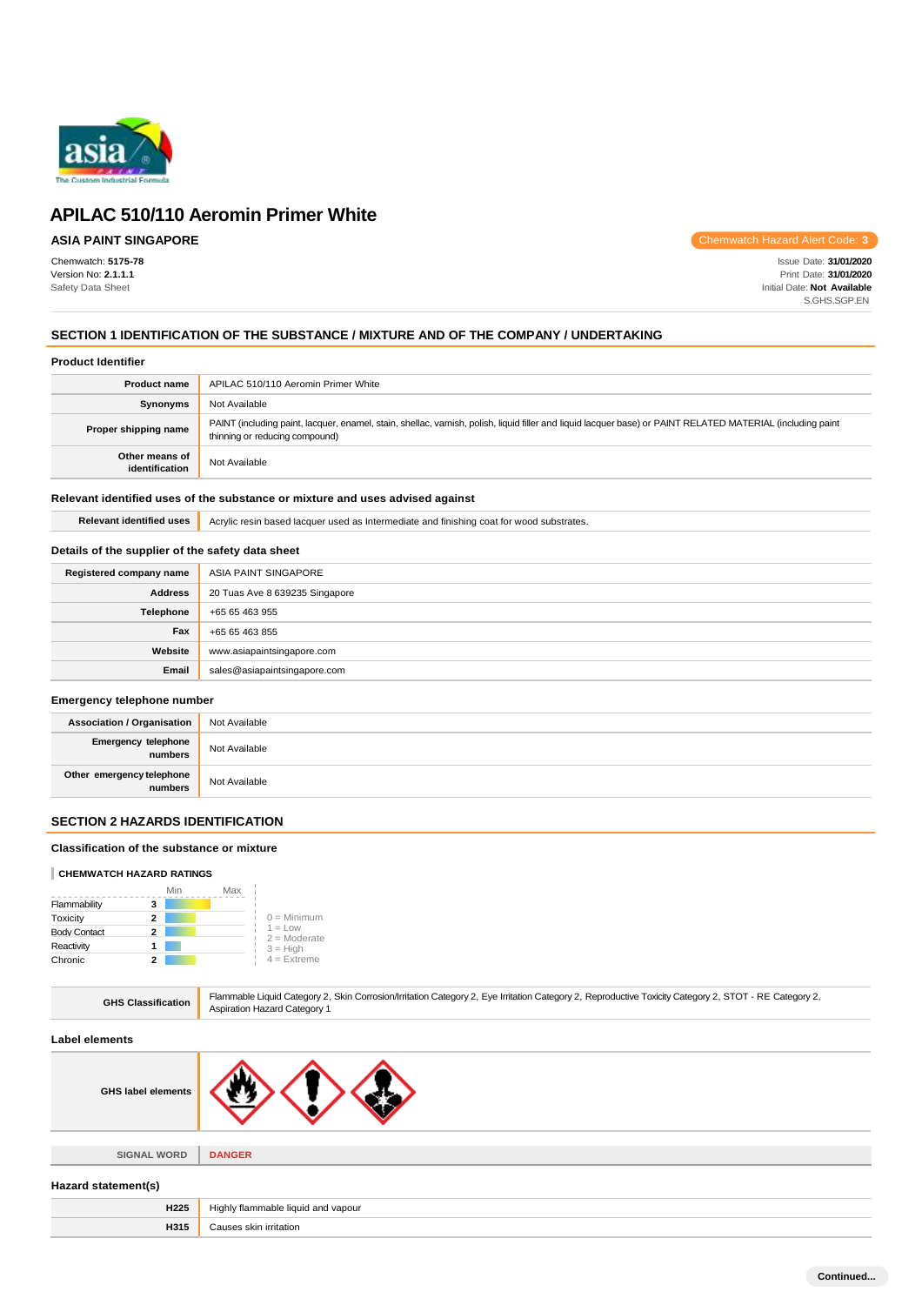

## **ASIA PAINT SINGAPORE**

Chemwatch: **5175-78** Version No: **2.1.1.1** Safety Data Sheet

Chemwatch Hazard Alert Code: **3**

Issue Date: **31/01/2020** Print Date: **31/01/2020** Initial Date: **Not Available** S.GHS.SGP.EN

## **SECTION 1 IDENTIFICATION OF THE SUBSTANCE / MIXTURE AND OF THE COMPANY / UNDERTAKING**

### **Product Identifier**

| <b>Product name</b>              | APILAC 510/110 Aeromin Primer White                                                                                                                                                           |
|----------------------------------|-----------------------------------------------------------------------------------------------------------------------------------------------------------------------------------------------|
| Synonyms                         | Not Available                                                                                                                                                                                 |
| Proper shipping name             | PAINT (including paint, lacquer, enamel, stain, shellac, varnish, polish, liquid filler and liquid lacquer base) or PAINT RELATED MATERIAL (including paint<br>thinning or reducing compound) |
| Other means of<br>identification | Not Available                                                                                                                                                                                 |

### **Relevant identified uses of the substance or mixture and uses advised against**

Relevant identified uses **Acrylic resin based lacquer used as Intermediate and finishing coat for wood substrates.** 

### **Details of the supplier of the safety data sheet**

| Registered company name | ASIA PAINT SINGAPORE           |
|-------------------------|--------------------------------|
| <b>Address</b>          | 20 Tuas Ave 8 639235 Singapore |
| Telephone               | +65 65 463 955                 |
| Fax                     | +65 65 463 855                 |
| Website                 | www.asiapaintsingapore.com     |
| Email                   | sales@asiapaintsingapore.com   |

### **Emergency telephone number**

| <b>Association / Organisation</b>    | Not Available |
|--------------------------------------|---------------|
| Emergency telephone<br>numbers       | Not Available |
| Other emergency telephone<br>numbers | Not Available |

### **SECTION 2 HAZARDS IDENTIFICATION**

### **Classification of the substance or mixture**

### **CHEMWATCH HAZARD RATINGS**

|                     |   | Min | Max |                             |
|---------------------|---|-----|-----|-----------------------------|
| Flammability        | з |     |     |                             |
| Toxicity            | 2 |     |     | $0 =$ Minimum               |
| <b>Body Contact</b> | 2 |     |     | $1 = Low$<br>$2 =$ Moderate |
| Reactivity          |   |     |     | $3 = High$                  |
| Chronic             |   |     |     | $4$ = Extreme               |

|  | <b>GHS Classification</b> | Flammable Liquid Category 2, Skin Corrosion/Irritation Category 2, Eye Irritation Category 2, Reproductive Toxicity Category 2, STOT - RE Category 2,<br><b>Aspiration Hazard Category 1</b> |
|--|---------------------------|----------------------------------------------------------------------------------------------------------------------------------------------------------------------------------------------|
|--|---------------------------|----------------------------------------------------------------------------------------------------------------------------------------------------------------------------------------------|

#### **Label elements**

| <b>GHS label elements</b> |  |  |
|---------------------------|--|--|
|---------------------------|--|--|

**SIGNAL WORD DANGER**

#### **Hazard statement(s)**

| H <sub>225</sub> | y flammable liquid and vapour.<br>Hiahl∖<br>$\sim$ $\sim$ |
|------------------|-----------------------------------------------------------|
| H315             | Causes skin irritation                                    |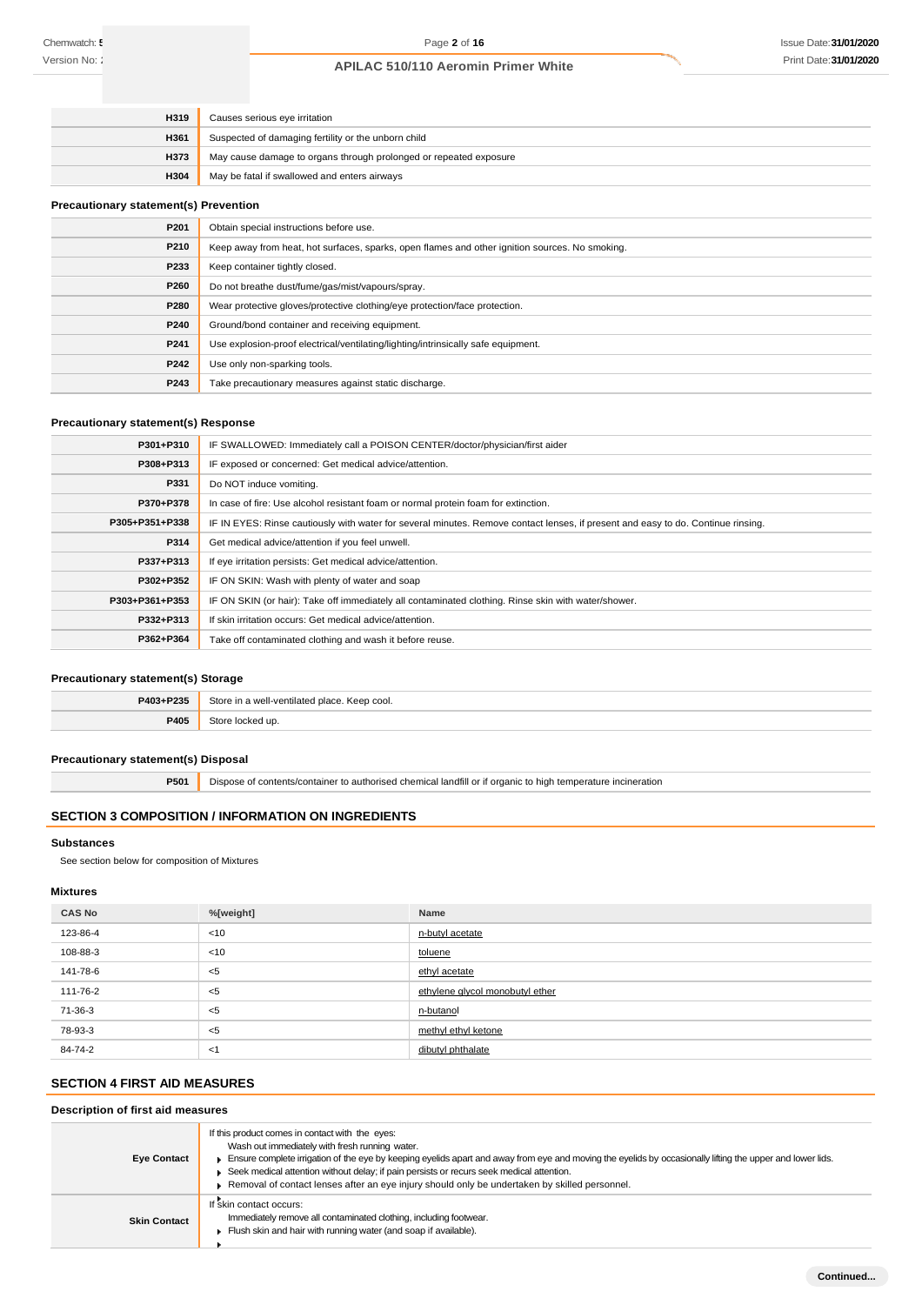| H319        | Causes serious eye irritation                                     |  |
|-------------|-------------------------------------------------------------------|--|
| <b>H361</b> | Suspected of damaging fertility or the unborn child               |  |
| <b>H373</b> | May cause damage to organs through prolonged or repeated exposure |  |
| H304        | May be fatal if swallowed and enters airways                      |  |

### **Precautionary statement(s) Prevention**

| P201 | Obtain special instructions before use.                                                        |
|------|------------------------------------------------------------------------------------------------|
| P210 | Keep away from heat, hot surfaces, sparks, open flames and other ignition sources. No smoking. |
| P233 | Keep container tightly closed.                                                                 |
| P260 | Do not breathe dust/fume/gas/mist/vapours/spray.                                               |
| P280 | Wear protective gloves/protective clothing/eye protection/face protection.                     |
| P240 | Ground/bond container and receiving equipment.                                                 |
| P241 | Use explosion-proof electrical/ventilating/lighting/intrinsically safe equipment.              |
| P242 | Use only non-sparking tools.                                                                   |
| P243 | Take precautionary measures against static discharge.                                          |

## **Precautionary statement(s) Response**

| P301+P310      | IF SWALLOWED: Immediately call a POISON CENTER/doctor/physician/first aider                                                      |  |  |
|----------------|----------------------------------------------------------------------------------------------------------------------------------|--|--|
| P308+P313      | IF exposed or concerned: Get medical advice/attention.                                                                           |  |  |
| P331           | Do NOT induce vomiting.                                                                                                          |  |  |
| P370+P378      | In case of fire: Use alcohol resistant foam or normal protein foam for extinction.                                               |  |  |
| P305+P351+P338 | IF IN EYES: Rinse cautiously with water for several minutes. Remove contact lenses, if present and easy to do. Continue rinsing. |  |  |
| P314           | Get medical advice/attention if you feel unwell.                                                                                 |  |  |
| P337+P313      | If eye irritation persists: Get medical advice/attention.                                                                        |  |  |
| P302+P352      | IF ON SKIN: Wash with plenty of water and soap                                                                                   |  |  |
| P303+P361+P353 | IF ON SKIN (or hair): Take off immediately all contaminated clothing. Rinse skin with water/shower.                              |  |  |
| P332+P313      | If skin irritation occurs: Get medical advice/attention.                                                                         |  |  |
| P362+P364      | Take off contaminated clothing and wash it before reuse.                                                                         |  |  |

### **Precautionary statement(s) Storage**

| P403+P235 | Store in a well-ventilated place. Keep cool. |
|-----------|----------------------------------------------|
| P405      | <b>Store</b><br>Tocked up.                   |

### **Precautionary statement(s) Disposal**

**P501** Dispose of contents/container to authorised chemical landfill or if organic to high temperature incineration

## **SECTION 3 COMPOSITION / INFORMATION ON INGREDIENTS**

#### **Substances**

See section below for composition of Mixtures

### **Mixtures**

| <b>CAS No</b> | %[weight] | Name                            |
|---------------|-----------|---------------------------------|
| 123-86-4      | <10       | n-butyl acetate                 |
| 108-88-3      | < 10      | toluene                         |
| 141-78-6      | $<$ 5     | ethyl acetate                   |
| 111-76-2      | $<$ 5     | ethylene glycol monobutyl ether |
| 71-36-3       | $<$ 5     | n-butanol                       |
| 78-93-3       | ≺5        | methyl ethyl ketone             |
| 84-74-2       | -1        | dibutyl phthalate               |

## **SECTION 4 FIRST AID MEASURES**

## **Description of first aid measures**

| If this product comes in contact with the eyes:<br>Wash out immediately with fresh running water.<br>Ensure complete irrigation of the eye by keeping eyelids apart and away from eye and moving the eyelids by occasionally lifting the upper and lower lids.<br>► Seek medical attention without delay; if pain persists or recurs seek medical attention.<br>► Removal of contact lenses after an eye injury should only be undertaken by skilled personnel. |
|-----------------------------------------------------------------------------------------------------------------------------------------------------------------------------------------------------------------------------------------------------------------------------------------------------------------------------------------------------------------------------------------------------------------------------------------------------------------|
| If skin contact occurs:<br>Immediately remove all contaminated clothing, including footwear.<br>Flush skin and hair with running water (and soap if available).                                                                                                                                                                                                                                                                                                 |
|                                                                                                                                                                                                                                                                                                                                                                                                                                                                 |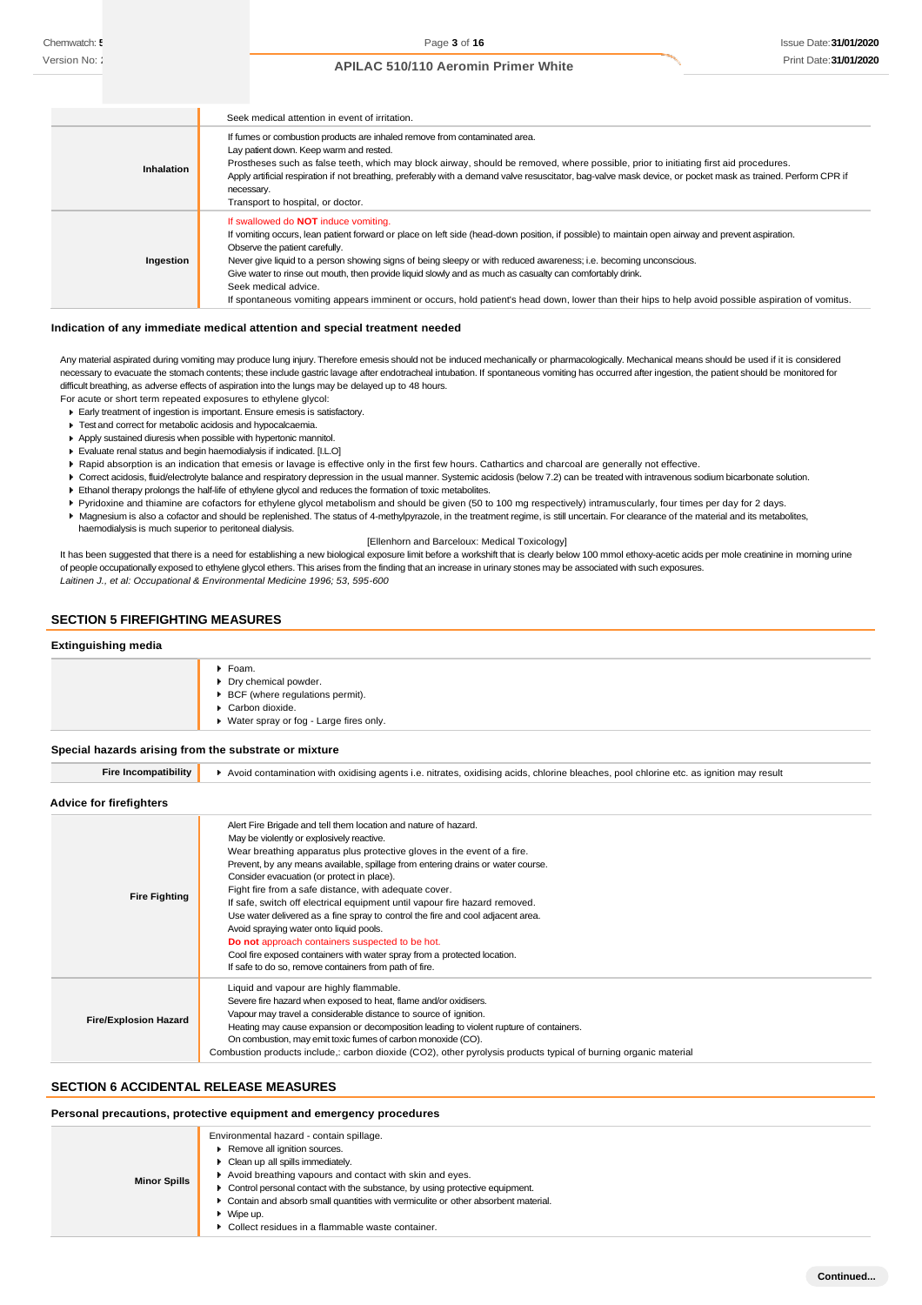|            | Seek medical attention in event of irritation.                                                                                                                                                                                                                                                                                                                                                                                                                                                                                                                                                                                           |  |  |  |
|------------|------------------------------------------------------------------------------------------------------------------------------------------------------------------------------------------------------------------------------------------------------------------------------------------------------------------------------------------------------------------------------------------------------------------------------------------------------------------------------------------------------------------------------------------------------------------------------------------------------------------------------------------|--|--|--|
| Inhalation | If furnes or combustion products are inhaled remove from contaminated area.<br>Lay patient down. Keep warm and rested.<br>Prostheses such as false teeth, which may block airway, should be removed, where possible, prior to initiating first aid procedures.<br>Apply artificial respiration if not breathing, preferably with a demand valve resuscitator, bag-valve mask device, or pocket mask as trained. Perform CPR if<br>necessary.<br>Transport to hospital, or doctor.                                                                                                                                                        |  |  |  |
| Ingestion  | If swallowed do NOT induce vomiting.<br>If vomiting occurs, lean patient forward or place on left side (head-down position, if possible) to maintain open airway and prevent aspiration.<br>Observe the patient carefully.<br>Never give liquid to a person showing signs of being sleepy or with reduced awareness; i.e. becoming unconscious.<br>Give water to rinse out mouth, then provide liquid slowly and as much as casualty can comfortably drink.<br>Seek medical advice.<br>If spontaneous vomiting appears imminent or occurs, hold patient's head down, lower than their hips to help avoid possible aspiration of vomitus. |  |  |  |

### **Indication of any immediate medical attention and special treatment needed**

Any material aspirated during vomiting may produce lung injury. Therefore emesis should not be induced mechanically or pharmacologically. Mechanical means should be used if it is considered necessary to evacuate the stomach contents; these include gastric lavage after endotracheal intubation. If spontaneous vomiting has occurred after ingestion, the patient should be monitored for difficult breathing, as adverse effects of aspiration into the lungs may be delayed up to 48 hours.

- For acute or short term repeated exposures to ethylene glycol: Early treatment of ingestion is important. Ensure emesis is satisfactory.
	- Test and correct for metabolic acidosis and hypocalcaemia.
- Apply sustained diuresis when possible with hypertonic mannitol.
- Evaluate renal status and begin haemodialysis if indicated. [I.L.O]
- ▶ Rapid absorption is an indication that emesis or lavage is effective only in the first few hours. Cathartics and charcoal are generally not effective.
- ▶ Correct acidosis, fluid/electrolyte balance and respiratory depression in the usual manner. Systemic acidosis (below 7.2) can be treated with intravenous sodium bicarbonate solution.
- Ethanol therapy prolongs the half-life of ethylene glycol and reduces the formation of toxic metabolites.
- Pyridoxine and thiamine are cofactors for ethylene glycol metabolism and should be given (50 to 100 mg respectively) intramuscularly, four times per day for 2 days.
- Magnesium is also a cofactor and should be replenished. The status of 4-methylpyrazole, in the treatment regime, is still uncertain. For clearance of the material and its metabolites, haemodialysis is much superior to peritoneal dialysis.

[Ellenhorn and Barceloux: Medical Toxicology]

It has been suggested that there is a need for establishing a new biological exposure limit before a workshift that is clearly below 100 mmol ethoxy-acetic acids per mole creatinine in morning urine of people occupationally exposed to ethylene glycol ethers. This arises from the finding that an increase in urinary stones may be associated with such exposures. *Laitinen J., et al: Occupational & Environmental Medicine 1996; 53, 595-600*

## **SECTION 5 FIREFIGHTING MEASURES**

#### **Extinguishing media**

| $\triangleright$ BCF (where regulations permit).<br>$\blacktriangleright$ Carbon dioxide.<br>▶ Water spray or fog - Large fires only. | $\blacktriangleright$ Foam.<br>Dry chemical powder. |
|---------------------------------------------------------------------------------------------------------------------------------------|-----------------------------------------------------|
|---------------------------------------------------------------------------------------------------------------------------------------|-----------------------------------------------------|

#### **Special hazards arising from the substrate or mixture**

| <b>Fire Incompatibility</b>    | Avoid contamination with oxidising agents i.e. nitrates, oxidising acids, chlorine bleaches, pool chlorine etc. as ignition may result                                                                                                                                                                                                                                                                                                                                                                                                                                                                                                                                                                                                                                                 |  |  |  |
|--------------------------------|----------------------------------------------------------------------------------------------------------------------------------------------------------------------------------------------------------------------------------------------------------------------------------------------------------------------------------------------------------------------------------------------------------------------------------------------------------------------------------------------------------------------------------------------------------------------------------------------------------------------------------------------------------------------------------------------------------------------------------------------------------------------------------------|--|--|--|
| <b>Advice for firefighters</b> |                                                                                                                                                                                                                                                                                                                                                                                                                                                                                                                                                                                                                                                                                                                                                                                        |  |  |  |
| <b>Fire Fighting</b>           | Alert Fire Brigade and tell them location and nature of hazard.<br>May be violently or explosively reactive.<br>Wear breathing apparatus plus protective gloves in the event of a fire.<br>Prevent, by any means available, spillage from entering drains or water course.<br>Consider evacuation (or protect in place).<br>Fight fire from a safe distance, with adequate cover.<br>If safe, switch off electrical equipment until vapour fire hazard removed.<br>Use water delivered as a fine spray to control the fire and cool adjacent area.<br>Avoid spraying water onto liquid pools.<br>Do not approach containers suspected to be hot.<br>Cool fire exposed containers with water spray from a protected location.<br>If safe to do so, remove containers from path of fire. |  |  |  |
| <b>Fire/Explosion Hazard</b>   | Liquid and vapour are highly flammable.<br>Severe fire hazard when exposed to heat, flame and/or oxidisers.<br>Vapour may travel a considerable distance to source of ignition.<br>Heating may cause expansion or decomposition leading to violent rupture of containers.<br>On combustion, may emit toxic fumes of carbon monoxide (CO).<br>Combustion products include,: carbon dioxide (CO2), other pyrolysis products typical of burning organic material                                                                                                                                                                                                                                                                                                                          |  |  |  |

### **SECTION 6 ACCIDENTAL RELEASE MEASURES**

### **Personal precautions, protective equipment and emergency procedures**

| <b>Minor Spills</b> | Environmental hazard - contain spillage.<br>Remove all ignition sources.<br>Clean up all spills immediately.<br>Avoid breathing vapours and contact with skin and eyes.<br>$\blacktriangleright$ Control personal contact with the substance, by using protective equipment.<br>• Contain and absorb small quantities with vermiculite or other absorbent material.<br>$\blacktriangleright$ Wipe up.<br>• Collect residues in a flammable waste container. |
|---------------------|-------------------------------------------------------------------------------------------------------------------------------------------------------------------------------------------------------------------------------------------------------------------------------------------------------------------------------------------------------------------------------------------------------------------------------------------------------------|
|---------------------|-------------------------------------------------------------------------------------------------------------------------------------------------------------------------------------------------------------------------------------------------------------------------------------------------------------------------------------------------------------------------------------------------------------------------------------------------------------|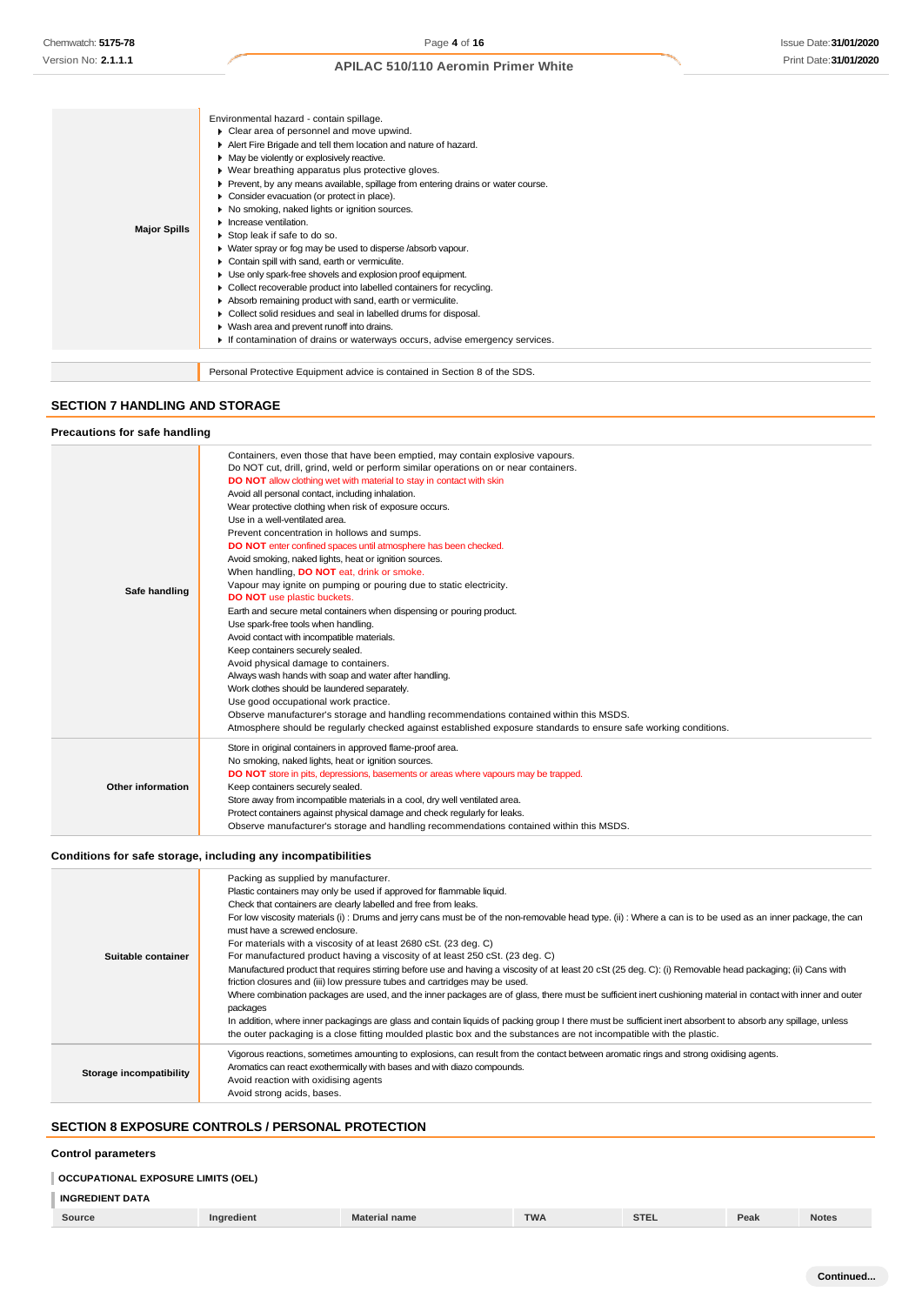|                     | Environmental hazard - contain spillage.                                          |
|---------------------|-----------------------------------------------------------------------------------|
|                     | Clear area of personnel and move upwind.                                          |
|                     | Alert Fire Brigade and tell them location and nature of hazard.                   |
|                     | • May be violently or explosively reactive.                                       |
|                     | ▶ Wear breathing apparatus plus protective gloves.                                |
|                     | ▶ Prevent, by any means available, spillage from entering drains or water course. |
|                     | Consider evacuation (or protect in place).                                        |
|                     | ▶ No smoking, naked lights or ignition sources.                                   |
|                     | $\blacktriangleright$ Increase ventilation.                                       |
| <b>Major Spills</b> | Stop leak if safe to do so.                                                       |
|                     | • Water spray or fog may be used to disperse /absorb vapour.                      |
|                     | Contain spill with sand, earth or vermiculite.                                    |
|                     | Use only spark-free shovels and explosion proof equipment.                        |
|                     | ▶ Collect recoverable product into labelled containers for recycling.             |
|                     | Absorb remaining product with sand, earth or vermiculite.                         |
|                     | Collect solid residues and seal in labelled drums for disposal.                   |
|                     | ▶ Wash area and prevent runoff into drains.                                       |
|                     | If contamination of drains or waterways occurs, advise emergency services.        |
|                     |                                                                                   |
|                     | Personal Protective Equipment advice is contained in Section 8 of the SDS.        |

## **SECTION 7 HANDLING AND STORAGE**

### **Precautions for safe handling**

| Safe handling     | Containers, even those that have been emptied, may contain explosive vapours.<br>Do NOT cut, drill, grind, weld or perform similar operations on or near containers.<br><b>DO NOT</b> allow clothing wet with material to stay in contact with skin<br>Avoid all personal contact, including inhalation.<br>Wear protective clothing when risk of exposure occurs.<br>Use in a well-ventilated area.<br>Prevent concentration in hollows and sumps.<br>DO NOT enter confined spaces until atmosphere has been checked.<br>Avoid smoking, naked lights, heat or ignition sources.<br>When handling, DO NOT eat, drink or smoke.<br>Vapour may ignite on pumping or pouring due to static electricity.<br><b>DO NOT</b> use plastic buckets.<br>Earth and secure metal containers when dispensing or pouring product.<br>Use spark-free tools when handling.<br>Avoid contact with incompatible materials.<br>Keep containers securely sealed.<br>Avoid physical damage to containers.<br>Always wash hands with soap and water after handling.<br>Work clothes should be laundered separately.<br>Use good occupational work practice.<br>Observe manufacturer's storage and handling recommendations contained within this MSDS. |
|-------------------|----------------------------------------------------------------------------------------------------------------------------------------------------------------------------------------------------------------------------------------------------------------------------------------------------------------------------------------------------------------------------------------------------------------------------------------------------------------------------------------------------------------------------------------------------------------------------------------------------------------------------------------------------------------------------------------------------------------------------------------------------------------------------------------------------------------------------------------------------------------------------------------------------------------------------------------------------------------------------------------------------------------------------------------------------------------------------------------------------------------------------------------------------------------------------------------------------------------------------------|
|                   | Atmosphere should be regularly checked against established exposure standards to ensure safe working conditions.                                                                                                                                                                                                                                                                                                                                                                                                                                                                                                                                                                                                                                                                                                                                                                                                                                                                                                                                                                                                                                                                                                                 |
| Other information | Store in original containers in approved flame-proof area.<br>No smoking, naked lights, heat or ignition sources.<br>DO NOT store in pits, depressions, basements or areas where vapours may be trapped.<br>Keep containers securely sealed.<br>Store away from incompatible materials in a cool, dry well ventilated area.<br>Protect containers against physical damage and check regularly for leaks.<br>Observe manufacturer's storage and handling recommendations contained within this MSDS.                                                                                                                                                                                                                                                                                                                                                                                                                                                                                                                                                                                                                                                                                                                              |

## **Conditions for safe storage, including any incompatibilities**

| Suitable container      | Packing as supplied by manufacturer.<br>Plastic containers may only be used if approved for flammable liquid.<br>Check that containers are clearly labelled and free from leaks.<br>For low viscosity materials (i): Drums and jerry cans must be of the non-removable head type. (ii): Where a can is to be used as an inner package, the can<br>must have a screwed enclosure.<br>For materials with a viscosity of at least 2680 cSt. (23 deg. C)<br>For manufactured product having a viscosity of at least 250 cSt. (23 deg. C)<br>Manufactured product that requires stirring before use and having a viscosity of at least 20 cSt (25 deg. C): (i) Removable head packaging; (ii) Cans with<br>friction closures and (iii) low pressure tubes and cartridges may be used.<br>Where combination packages are used, and the inner packages are of glass, there must be sufficient inert cushioning material in contact with inner and outer<br>packages<br>In addition, where inner packagings are glass and contain liquids of packing group I there must be sufficient inert absorbent to absorb any spillage, unless<br>the outer packaging is a close fitting moulded plastic box and the substances are not incompatible with the plastic. |
|-------------------------|------------------------------------------------------------------------------------------------------------------------------------------------------------------------------------------------------------------------------------------------------------------------------------------------------------------------------------------------------------------------------------------------------------------------------------------------------------------------------------------------------------------------------------------------------------------------------------------------------------------------------------------------------------------------------------------------------------------------------------------------------------------------------------------------------------------------------------------------------------------------------------------------------------------------------------------------------------------------------------------------------------------------------------------------------------------------------------------------------------------------------------------------------------------------------------------------------------------------------------------------------|
| Storage incompatibility | Vigorous reactions, sometimes amounting to explosions, can result from the contact between aromatic rings and strong oxidising agents.<br>Aromatics can react exothermically with bases and with diazo compounds.<br>Avoid reaction with oxidising agents<br>Avoid strong acids, bases.                                                                                                                                                                                                                                                                                                                                                                                                                                                                                                                                                                                                                                                                                                                                                                                                                                                                                                                                                              |

## **SECTION 8 EXPOSURE CONTROLS / PERSONAL PROTECTION**

#### **Control parameters**

## **OCCUPATIONAL EXPOSURE LIMITS (OEL)**

## **INGREDIENT DATA**

|--|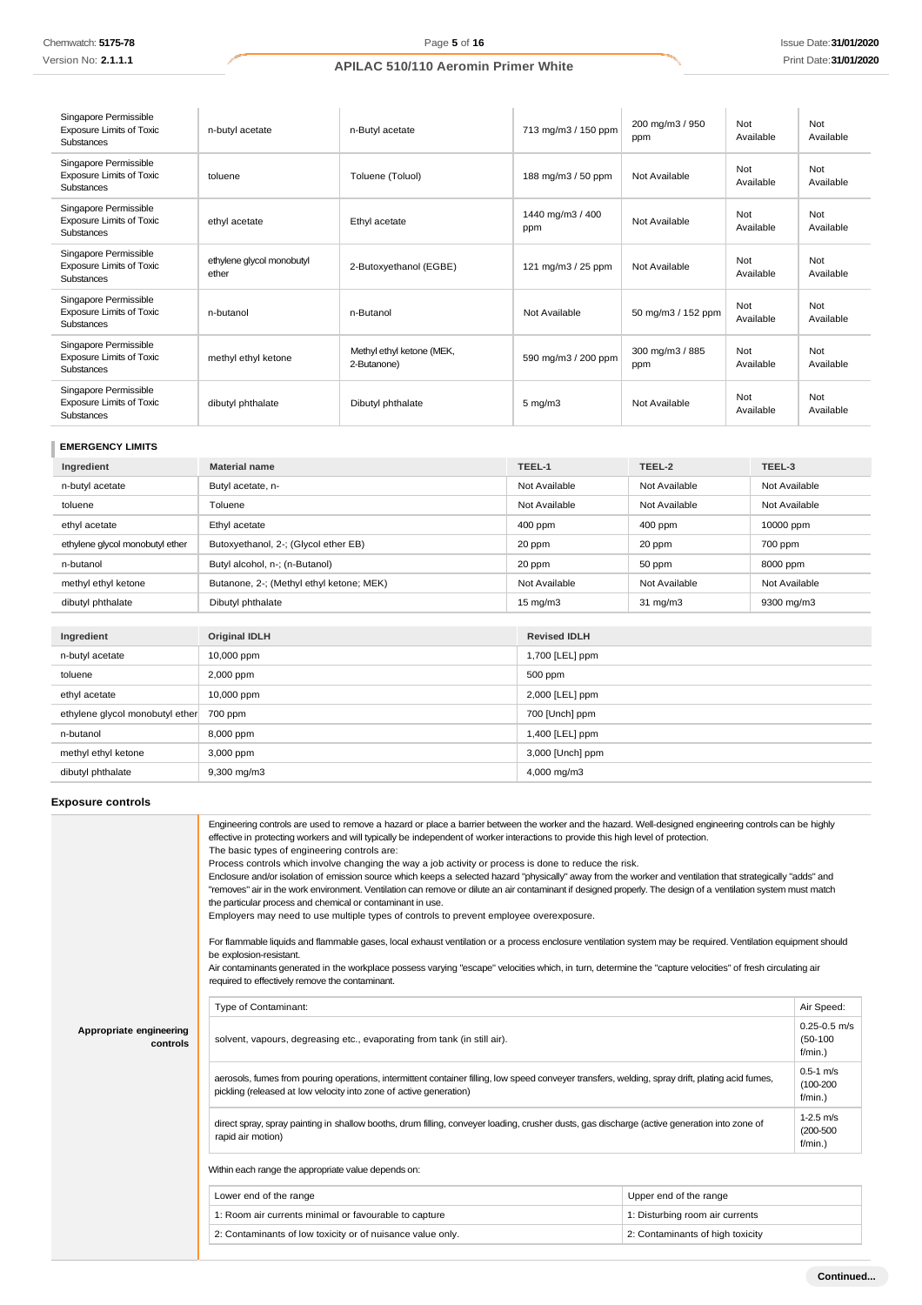| Singapore Permissible<br><b>Exposure Limits of Toxic</b><br><b>Substances</b> | n-butyl acetate                    | n-Butyl acetate                          | 713 mg/m3 / 150 ppm     | 200 mg/m3 / 950<br>ppm | Not<br>Available | Not<br>Available |
|-------------------------------------------------------------------------------|------------------------------------|------------------------------------------|-------------------------|------------------------|------------------|------------------|
| Singapore Permissible<br><b>Exposure Limits of Toxic</b><br>Substances        | toluene                            | Toluene (Toluol)                         | 188 mg/m3 / 50 ppm      | Not Available          | Not<br>Available | Not<br>Available |
| Singapore Permissible<br><b>Exposure Limits of Toxic</b><br><b>Substances</b> | ethyl acetate                      | Ethyl acetate                            | 1440 mg/m3 / 400<br>ppm | Not Available          | Not<br>Available | Not<br>Available |
| Singapore Permissible<br><b>Exposure Limits of Toxic</b><br>Substances        | ethylene glycol monobutyl<br>ether | 2-Butoxyethanol (EGBE)                   | 121 mg/m3 / 25 ppm      | Not Available          | Not<br>Available | Not<br>Available |
| Singapore Permissible<br><b>Exposure Limits of Toxic</b><br><b>Substances</b> | n-butanol                          | n-Butanol                                | Not Available           | 50 mg/m3 / 152 ppm     | Not<br>Available | Not<br>Available |
| Singapore Permissible<br><b>Exposure Limits of Toxic</b><br>Substances        | methyl ethyl ketone                | Methyl ethyl ketone (MEK,<br>2-Butanone) | 590 mg/m3 / 200 ppm     | 300 mg/m3 / 885<br>ppm | Not<br>Available | Not<br>Available |
| Singapore Permissible<br><b>Exposure Limits of Toxic</b><br><b>Substances</b> | dibutyl phthalate                  | Dibutyl phthalate                        | $5 \text{ mg/m}$ 3      | Not Available          | Not<br>Available | Not<br>Available |

## **EMERGENCY LIMITS**

| Ingredient                      | <b>Material name</b>                     | TEEL-1            | TEEL-2            | TEEL-3        |
|---------------------------------|------------------------------------------|-------------------|-------------------|---------------|
| n-butyl acetate                 | Butyl acetate, n-                        | Not Available     | Not Available     | Not Available |
| toluene                         | Toluene                                  | Not Available     | Not Available     | Not Available |
| ethyl acetate                   | Ethyl acetate                            | $400$ ppm         | $400$ ppm         | 10000 ppm     |
| ethylene glycol monobutyl ether | Butoxyethanol, 2-; (Glycol ether EB)     | 20 ppm            | 20 ppm            | 700 ppm       |
| n-butanol                       | Butyl alcohol, n-; (n-Butanol)           | 20 ppm            | 50 ppm            | 8000 ppm      |
| methyl ethyl ketone             | Butanone, 2-; (Methyl ethyl ketone; MEK) | Not Available     | Not Available     | Not Available |
| dibutyl phthalate               | Dibutyl phthalate                        | $15 \text{ mg/m}$ | $31 \text{ mg/m}$ | 9300 mg/m3    |

| Ingredient                      | <b>Original IDLH</b> | <b>Revised IDLH</b> |
|---------------------------------|----------------------|---------------------|
| n-butyl acetate                 | 10,000 ppm           | 1,700 [LEL] ppm     |
| toluene                         | 2,000 ppm            | 500 ppm             |
| ethyl acetate                   | 10,000 ppm           | 2,000 [LEL] ppm     |
| ethylene glycol monobutyl ether | 700 ppm              | 700 [Unch] ppm      |
| n-butanol                       | 8,000 ppm            | 1,400 [LEL] ppm     |
| methyl ethyl ketone             | 3,000 ppm            | 3,000 [Unch] ppm    |
| dibutyl phthalate               | $9,300$ mg/m $3$     | 4,000 mg/m3         |

## **Exposure controls**

|                                     | Engineering controls are used to remove a hazard or place a barrier between the worker and the hazard. Well-designed engineering controls can be highly<br>effective in protecting workers and will typically be independent of worker interactions to provide this high level of protection.<br>The basic types of engineering controls are:<br>Process controls which involve changing the way a job activity or process is done to reduce the risk.<br>Enclosure and/or isolation of emission source which keeps a selected hazard "physically" away from the worker and ventilation that strategically "adds" and<br>"removes" air in the work environment. Ventilation can remove or dilute an air contaminant if designed properly. The design of a ventilation system must match<br>the particular process and chemical or contaminant in use.<br>Employers may need to use multiple types of controls to prevent employee overexposure.<br>For flammable liquids and flammable gases, local exhaust ventilation or a process enclosure ventilation system may be required. Ventilation equipment should<br>be explosion-resistant.<br>Air contaminants generated in the workplace possess varying "escape" velocities which, in turn, determine the "capture velocities" of fresh circulating air<br>required to effectively remove the contaminant. |                                 |                                              |
|-------------------------------------|--------------------------------------------------------------------------------------------------------------------------------------------------------------------------------------------------------------------------------------------------------------------------------------------------------------------------------------------------------------------------------------------------------------------------------------------------------------------------------------------------------------------------------------------------------------------------------------------------------------------------------------------------------------------------------------------------------------------------------------------------------------------------------------------------------------------------------------------------------------------------------------------------------------------------------------------------------------------------------------------------------------------------------------------------------------------------------------------------------------------------------------------------------------------------------------------------------------------------------------------------------------------------------------------------------------------------------------------------------------|---------------------------------|----------------------------------------------|
|                                     | Type of Contaminant:                                                                                                                                                                                                                                                                                                                                                                                                                                                                                                                                                                                                                                                                                                                                                                                                                                                                                                                                                                                                                                                                                                                                                                                                                                                                                                                                         |                                 | Air Speed:                                   |
| Appropriate engineering<br>controls | solvent, vapours, degreasing etc., evaporating from tank (in still air).                                                                                                                                                                                                                                                                                                                                                                                                                                                                                                                                                                                                                                                                                                                                                                                                                                                                                                                                                                                                                                                                                                                                                                                                                                                                                     |                                 | $0.25 - 0.5$ m/s<br>$(50-100)$<br>$f/min.$ ) |
|                                     | aerosols, fumes from pouring operations, intermittent container filling, low speed conveyer transfers, welding, spray drift, plating acid fumes,<br>pickling (released at low velocity into zone of active generation)                                                                                                                                                                                                                                                                                                                                                                                                                                                                                                                                                                                                                                                                                                                                                                                                                                                                                                                                                                                                                                                                                                                                       |                                 | $0.5 - 1$ m/s<br>$(100 - 200)$<br>f/min.)    |
|                                     | direct spray, spray painting in shallow booths, drum filling, conveyer loading, crusher dusts, gas discharge (active generation into zone of<br>rapid air motion)                                                                                                                                                                                                                                                                                                                                                                                                                                                                                                                                                                                                                                                                                                                                                                                                                                                                                                                                                                                                                                                                                                                                                                                            |                                 | $1-2.5$ m/s<br>$(200 - 500)$<br>$f/min.$ )   |
|                                     | Within each range the appropriate value depends on:                                                                                                                                                                                                                                                                                                                                                                                                                                                                                                                                                                                                                                                                                                                                                                                                                                                                                                                                                                                                                                                                                                                                                                                                                                                                                                          |                                 |                                              |
|                                     | Lower end of the range                                                                                                                                                                                                                                                                                                                                                                                                                                                                                                                                                                                                                                                                                                                                                                                                                                                                                                                                                                                                                                                                                                                                                                                                                                                                                                                                       | Upper end of the range          |                                              |
|                                     | 1: Room air currents minimal or favourable to capture                                                                                                                                                                                                                                                                                                                                                                                                                                                                                                                                                                                                                                                                                                                                                                                                                                                                                                                                                                                                                                                                                                                                                                                                                                                                                                        | 1: Disturbing room air currents |                                              |
|                                     | 2: Contaminants of low toxicity or of nuisance value only.<br>2: Contaminants of high toxicity                                                                                                                                                                                                                                                                                                                                                                                                                                                                                                                                                                                                                                                                                                                                                                                                                                                                                                                                                                                                                                                                                                                                                                                                                                                               |                                 |                                              |
|                                     |                                                                                                                                                                                                                                                                                                                                                                                                                                                                                                                                                                                                                                                                                                                                                                                                                                                                                                                                                                                                                                                                                                                                                                                                                                                                                                                                                              |                                 |                                              |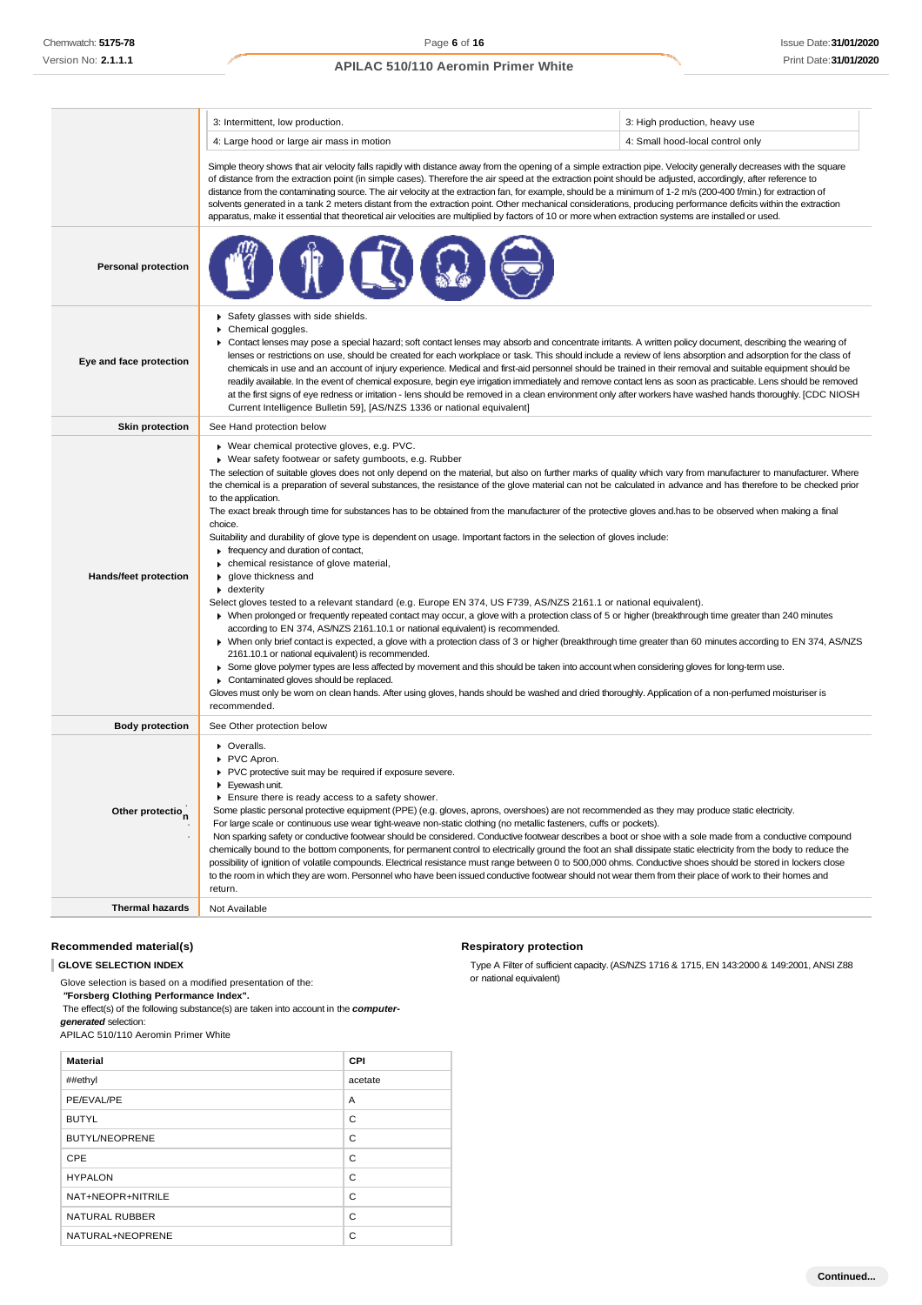|                              | 3: Intermittent, low production.                                                                                                                                                                                                                                                                                                                                                                                                                                                                                                                                                                                                                                                                                                                                                                                                                                                                                                                                                                                                                                                                                                                                                                                                                                                                                                                                                                                                                                                                                                                                                                                                                                                                                                                                                                                                                         | 3: High production, heavy use    |  |
|------------------------------|----------------------------------------------------------------------------------------------------------------------------------------------------------------------------------------------------------------------------------------------------------------------------------------------------------------------------------------------------------------------------------------------------------------------------------------------------------------------------------------------------------------------------------------------------------------------------------------------------------------------------------------------------------------------------------------------------------------------------------------------------------------------------------------------------------------------------------------------------------------------------------------------------------------------------------------------------------------------------------------------------------------------------------------------------------------------------------------------------------------------------------------------------------------------------------------------------------------------------------------------------------------------------------------------------------------------------------------------------------------------------------------------------------------------------------------------------------------------------------------------------------------------------------------------------------------------------------------------------------------------------------------------------------------------------------------------------------------------------------------------------------------------------------------------------------------------------------------------------------|----------------------------------|--|
|                              | 4: Large hood or large air mass in motion                                                                                                                                                                                                                                                                                                                                                                                                                                                                                                                                                                                                                                                                                                                                                                                                                                                                                                                                                                                                                                                                                                                                                                                                                                                                                                                                                                                                                                                                                                                                                                                                                                                                                                                                                                                                                | 4: Small hood-local control only |  |
|                              | Simple theory shows that air velocity falls rapidly with distance away from the opening of a simple extraction pipe. Velocity generally decreases with the square<br>of distance from the extraction point (in simple cases). Therefore the air speed at the extraction point should be adjusted, accordingly, after reference to<br>distance from the contaminating source. The air velocity at the extraction fan, for example, should be a minimum of 1-2 m/s (200-400 f/min.) for extraction of<br>solvents generated in a tank 2 meters distant from the extraction point. Other mechanical considerations, producing performance deficits within the extraction<br>apparatus, make it essential that theoretical air velocities are multiplied by factors of 10 or more when extraction systems are installed or used.                                                                                                                                                                                                                                                                                                                                                                                                                                                                                                                                                                                                                                                                                                                                                                                                                                                                                                                                                                                                                             |                                  |  |
| <b>Personal protection</b>   |                                                                                                                                                                                                                                                                                                                                                                                                                                                                                                                                                                                                                                                                                                                                                                                                                                                                                                                                                                                                                                                                                                                                                                                                                                                                                                                                                                                                                                                                                                                                                                                                                                                                                                                                                                                                                                                          |                                  |  |
| Eye and face protection      | Safety glasses with side shields.<br>Chemical goggles.<br>► Contact lenses may pose a special hazard; soft contact lenses may absorb and concentrate irritants. A written policy document, describing the wearing of<br>lenses or restrictions on use, should be created for each workplace or task. This should include a review of lens absorption and adsorption for the class of<br>chemicals in use and an account of injury experience. Medical and first-aid personnel should be trained in their removal and suitable equipment should be<br>readily available. In the event of chemical exposure, begin eye irrigation immediately and remove contact lens as soon as practicable. Lens should be removed<br>at the first signs of eye redness or irritation - lens should be removed in a clean environment only after workers have washed hands thoroughly. [CDC NIOSH<br>Current Intelligence Bulletin 59], [AS/NZS 1336 or national equivalent]                                                                                                                                                                                                                                                                                                                                                                                                                                                                                                                                                                                                                                                                                                                                                                                                                                                                                             |                                  |  |
| <b>Skin protection</b>       | See Hand protection below                                                                                                                                                                                                                                                                                                                                                                                                                                                                                                                                                                                                                                                                                                                                                                                                                                                                                                                                                                                                                                                                                                                                                                                                                                                                                                                                                                                                                                                                                                                                                                                                                                                                                                                                                                                                                                |                                  |  |
| <b>Hands/feet protection</b> | ▶ Wear chemical protective gloves, e.g. PVC.<br>▶ Wear safety footwear or safety gumboots, e.g. Rubber<br>The selection of suitable gloves does not only depend on the material, but also on further marks of quality which vary from manufacturer to manufacturer. Where<br>the chemical is a preparation of several substances, the resistance of the glove material can not be calculated in advance and has therefore to be checked prior<br>to the application.<br>The exact break through time for substances has to be obtained from the manufacturer of the protective gloves and has to be observed when making a final<br>choice.<br>Suitability and durability of glove type is dependent on usage. Important factors in the selection of gloves include:<br>Frequency and duration of contact,<br>• chemical resistance of glove material,<br>glove thickness and<br>$\bullet$ dexterity<br>Select gloves tested to a relevant standard (e.g. Europe EN 374, US F739, AS/NZS 2161.1 or national equivalent).<br>> When prolonged or frequently repeated contact may occur, a glove with a protection class of 5 or higher (breakthrough time greater than 240 minutes<br>according to EN 374, AS/NZS 2161.10.1 or national equivalent) is recommended.<br>> When only brief contact is expected, a glove with a protection class of 3 or higher (breakthrough time greater than 60 minutes according to EN 374, AS/NZS<br>2161.10.1 or national equivalent) is recommended.<br>► Some glove polymer types are less affected by movement and this should be taken into account when considering gloves for long-term use.<br>Contaminated gloves should be replaced.<br>Gloves must only be wom on clean hands. After using gloves, hands should be washed and dried thoroughly. Application of a non-perfumed moisturiser is<br>recommended. |                                  |  |
| <b>Body protection</b>       | See Other protection below                                                                                                                                                                                                                                                                                                                                                                                                                                                                                                                                                                                                                                                                                                                                                                                                                                                                                                                                                                                                                                                                                                                                                                                                                                                                                                                                                                                                                                                                                                                                                                                                                                                                                                                                                                                                                               |                                  |  |
| Other protectio <sub>n</sub> | • Overalls.<br>PVC Apron.<br>PVC protective suit may be required if exposure severe.<br>Eyewash unit.<br>Ensure there is ready access to a safety shower.<br>Some plastic personal protective equipment (PPE) (e.g. gloves, aprons, overshoes) are not recommended as they may produce static electricity.<br>For large scale or continuous use wear tight-weave non-static clothing (no metallic fasteners, cuffs or pockets).<br>Non sparking safety or conductive footwear should be considered. Conductive footwear describes a boot or shoe with a sole made from a conductive compound<br>chemically bound to the bottom components, for permanent control to electrically ground the foot an shall dissipate static electricity from the body to reduce the<br>possibility of ignition of volatile compounds. Electrical resistance must range between 0 to 500,000 ohms. Conductive shoes should be stored in lockers close<br>to the room in which they are worn. Personnel who have been issued conductive footwear should not wear them from their place of work to their homes and<br>return.                                                                                                                                                                                                                                                                                                                                                                                                                                                                                                                                                                                                                                                                                                                                                |                                  |  |
| <b>Thermal hazards</b>       | Not Available                                                                                                                                                                                                                                                                                                                                                                                                                                                                                                                                                                                                                                                                                                                                                                                                                                                                                                                                                                                                                                                                                                                                                                                                                                                                                                                                                                                                                                                                                                                                                                                                                                                                                                                                                                                                                                            |                                  |  |

### **Recommended material(s)**

**GLOVE SELECTION INDEX**

Glove selection is based on a modified presentation of the: *"***Forsberg Clothing Performance Index".**

The effect(s) of the following substance(s) are taken into account in the *computergenerated* selection:

APILAC 510/110 Aeromin Primer White

| <b>Material</b>       | CPI     |
|-----------------------|---------|
| ##ethyl               | acetate |
| PE/EVAL/PE            | A       |
| <b>BUTYL</b>          | C       |
| <b>BUTYL/NEOPRENE</b> | C       |
| CPE                   | C       |
| <b>HYPALON</b>        | C       |
| NAT+NEOPR+NITRILE     | C       |
| <b>NATURAL RUBBER</b> | C       |
| NATURAL+NEOPRENE      | C       |

### **Respiratory protection**

Type A Filter of sufficient capacity. (AS/NZS 1716 & 1715, EN 143:2000 & 149:2001, ANSI Z88 or national equivalent)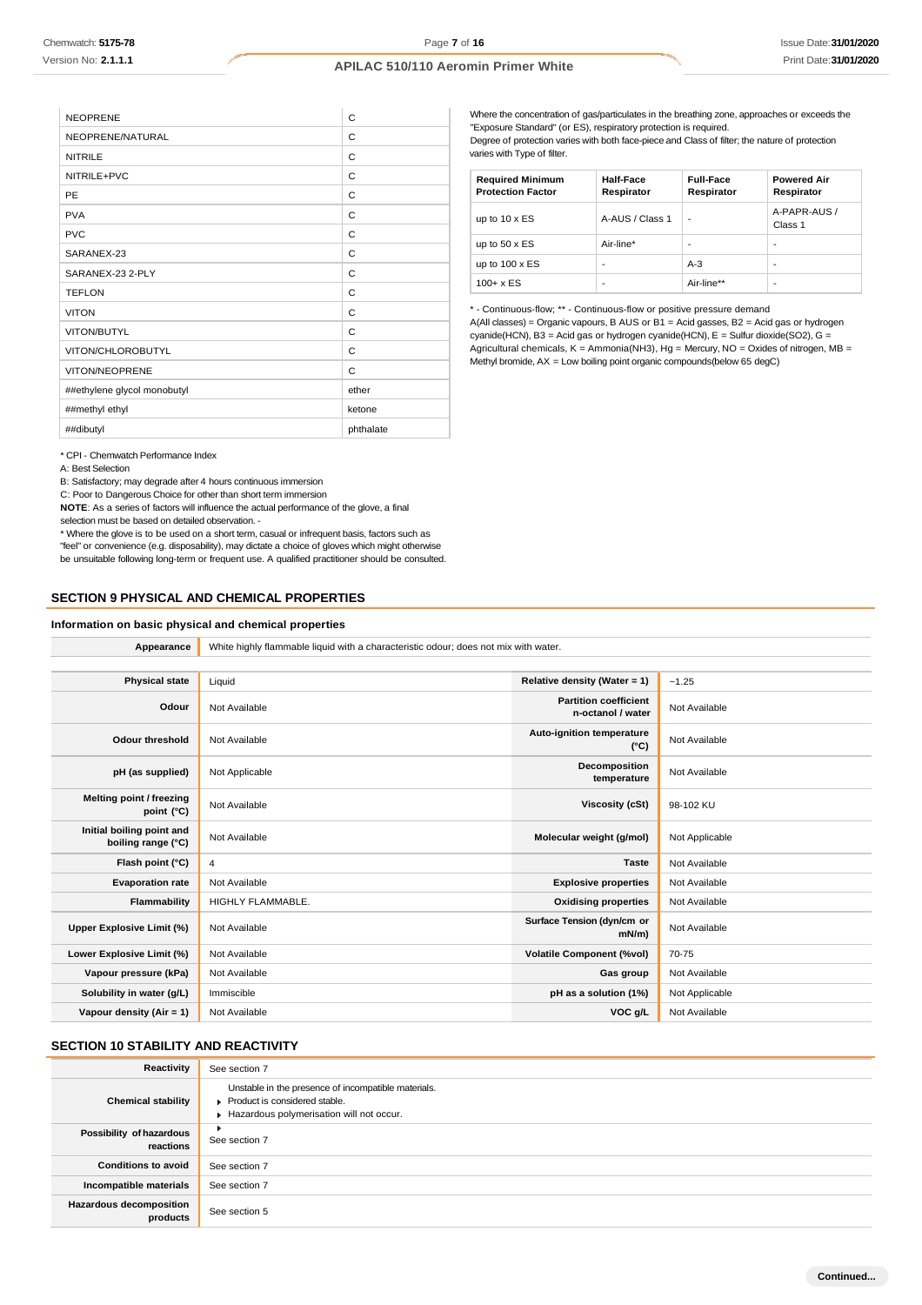| C         |
|-----------|
| С         |
| C         |
| C         |
| C         |
| C         |
| C         |
| C         |
| C         |
| C         |
| C         |
| C         |
| C         |
| C         |
| ether     |
| ketone    |
| phthalate |
|           |

Where the concentration of gas/particulates in the breathing zone, approaches or exceeds the "Exposure Standard" (or ES), respiratory protection is required. Degree of protection varies with both face-piece and Class of filter; the nature of protection varies with Type of filter.

| <b>Required Minimum</b><br><b>Protection Factor</b> | <b>Half-Face</b><br>Respirator | <b>Full-Face</b><br>Respirator | <b>Powered Air</b><br>Respirator |
|-----------------------------------------------------|--------------------------------|--------------------------------|----------------------------------|
| up to $10 \times ES$                                | A-AUS / Class 1                | -                              | A-PAPR-AUS /<br>Class 1          |
| up to $50 \times ES$                                | Air-line*                      | -                              | -                                |
| up to $100 \times ES$                               | -                              | $A-3$                          | -                                |
| $100 + x ES$                                        | -                              | Air-line**                     | -                                |

\* - Continuous-flow; \*\* - Continuous-flow or positive pressure demand A(All classes) = Organic vapours, B AUS or B1 = Acid gasses, B2 = Acid gas or hydrogen cyanide(HCN), B3 = Acid gas or hydrogen cyanide(HCN), E = Sulfur dioxide(SO2), G = Agricultural chemicals, K = Ammonia(NH3), Hg = Mercury, NO = Oxides of nitrogen, MB = Methyl bromide, AX = Low boiling point organic compounds(below 65 degC)

\* CPI - Chemwatch Performance Index

A: Best Selection

B: Satisfactory; may degrade after 4 hours continuous immersion

C: Poor to Dangerous Choice for other than short term immersion

**NOTE**: As a series of factors will influence the actual performance of the glove, a final selection must be based on detailed observation. -

\* Where the glove is to be used on a short term, casual or infrequent basis, factors such as "feel" or convenience (e.g. disposability), may dictate a choice of gloves which might otherwise be unsuitable following long-term or frequent use. A qualified practitioner should be consulted.

### **SECTION 9 PHYSICAL AND CHEMICAL PROPERTIES**

#### **Information on basic physical and chemical properties**

**Appearance** White highly flammable liquid with a characteristic odour; does not mix with water.

| <b>Physical state</b>                           | Liquid            | Relative density (Water = 1)                      | ~1.25          |
|-------------------------------------------------|-------------------|---------------------------------------------------|----------------|
| Odour                                           | Not Available     | <b>Partition coefficient</b><br>n-octanol / water | Not Available  |
| <b>Odour threshold</b>                          | Not Available     | Auto-ignition temperature<br>$(^{\circ}C)$        | Not Available  |
| pH (as supplied)                                | Not Applicable    | Decomposition<br>temperature                      | Not Available  |
| Melting point / freezing<br>point $(^{\circ}C)$ | Not Available     | Viscosity (cSt)                                   | 98-102 KU      |
| Initial boiling point and<br>boiling range (°C) | Not Available     | Molecular weight (g/mol)                          | Not Applicable |
| Flash point (°C)                                | 4                 | <b>Taste</b>                                      | Not Available  |
| <b>Evaporation rate</b>                         | Not Available     | <b>Explosive properties</b>                       | Not Available  |
| Flammability                                    | HIGHLY FLAMMABLE. | <b>Oxidising properties</b>                       | Not Available  |
| Upper Explosive Limit (%)                       | Not Available     | Surface Tension (dyn/cm or<br>$mN/m$ )            | Not Available  |
| Lower Explosive Limit (%)                       | Not Available     | <b>Volatile Component (%vol)</b>                  | 70-75          |
| Vapour pressure (kPa)                           | Not Available     | Gas group                                         | Not Available  |
| Solubility in water (g/L)                       | Immiscible        | pH as a solution (1%)                             | Not Applicable |
| Vapour density $(Air = 1)$                      | Not Available     | VOC g/L                                           | Not Available  |

## **SECTION 10 STABILITY AND REACTIVITY**

| Reactivity                                 | See section 7                                                                                                                    |
|--------------------------------------------|----------------------------------------------------------------------------------------------------------------------------------|
| <b>Chemical stability</b>                  | Unstable in the presence of incompatible materials.<br>Product is considered stable.<br>Hazardous polymerisation will not occur. |
| Possibility of hazardous<br>reactions      | ٠<br>See section 7                                                                                                               |
| <b>Conditions to avoid</b>                 | See section 7                                                                                                                    |
| Incompatible materials                     | See section 7                                                                                                                    |
| <b>Hazardous decomposition</b><br>products | See section 5                                                                                                                    |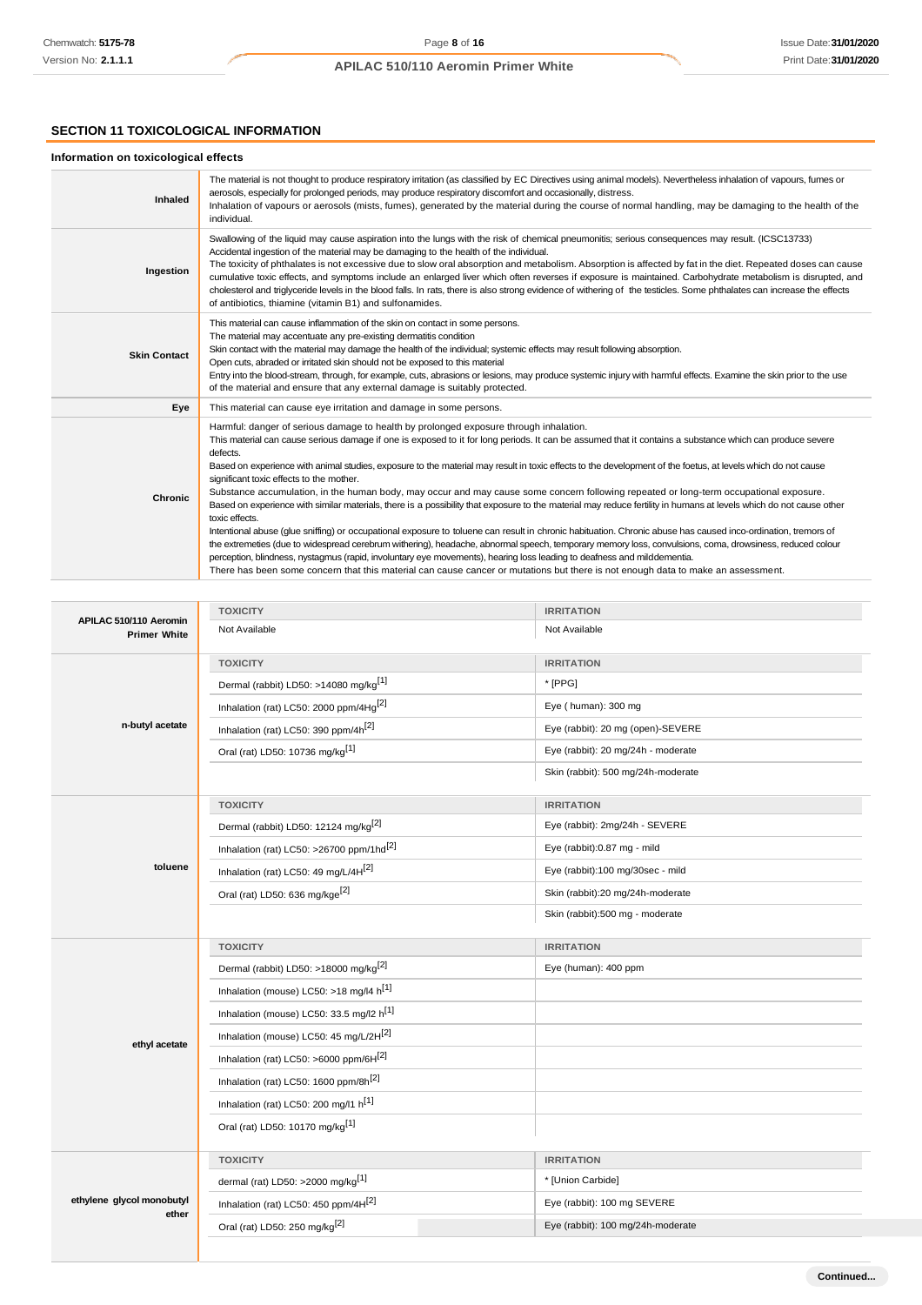## **SECTION 11 TOXICOLOGICAL INFORMATION**

## **Information on toxicological effects**

| <b>Inhaled</b>      | The material is not thought to produce respiratory irritation (as classified by EC Directives using animal models). Nevertheless inhalation of vapours, fumes or<br>aerosols, especially for prolonged periods, may produce respiratory discomfort and occasionally, distress.<br>Inhalation of vapours or aerosols (mists, fumes), generated by the material during the course of normal handling, may be damaging to the health of the<br>individual.                                                                                                                                                                                                                                                                                                                                                                                                                                                                                                                                                                                                                                                                                                                                                                                                                                                                                                                                                |
|---------------------|--------------------------------------------------------------------------------------------------------------------------------------------------------------------------------------------------------------------------------------------------------------------------------------------------------------------------------------------------------------------------------------------------------------------------------------------------------------------------------------------------------------------------------------------------------------------------------------------------------------------------------------------------------------------------------------------------------------------------------------------------------------------------------------------------------------------------------------------------------------------------------------------------------------------------------------------------------------------------------------------------------------------------------------------------------------------------------------------------------------------------------------------------------------------------------------------------------------------------------------------------------------------------------------------------------------------------------------------------------------------------------------------------------|
| Ingestion           | Swallowing of the liquid may cause aspiration into the lungs with the risk of chemical pneumonitis; serious consequences may result. (ICSC13733)<br>Accidental ingestion of the material may be damaging to the health of the individual.<br>The toxicity of phthalates is not excessive due to slow oral absorption and metabolism. Absorption is affected by fat in the diet. Repeated doses can cause<br>cumulative toxic effects, and symptoms include an enlarged liver which often reverses if exposure is maintained. Carbohydrate metabolism is disrupted, and<br>cholesterol and triglyceride levels in the blood falls. In rats, there is also strong evidence of withering of the testicles. Some phthalates can increase the effects<br>of antibiotics, thiamine (vitamin B1) and sulfonamides.                                                                                                                                                                                                                                                                                                                                                                                                                                                                                                                                                                                            |
| <b>Skin Contact</b> | This material can cause inflammation of the skin on contact in some persons.<br>The material may accentuate any pre-existing dermatitis condition<br>Skin contact with the material may damage the health of the individual; systemic effects may result following absorption.<br>Open cuts, abraded or irritated skin should not be exposed to this material<br>Entry into the blood-stream, through, for example, cuts, abrasions or lesions, may produce systemic injury with harmful effects. Examine the skin prior to the use<br>of the material and ensure that any external damage is suitably protected.                                                                                                                                                                                                                                                                                                                                                                                                                                                                                                                                                                                                                                                                                                                                                                                      |
| Eye                 | This material can cause eye irritation and damage in some persons.                                                                                                                                                                                                                                                                                                                                                                                                                                                                                                                                                                                                                                                                                                                                                                                                                                                                                                                                                                                                                                                                                                                                                                                                                                                                                                                                     |
| <b>Chronic</b>      | Harmful: danger of serious damage to health by prolonged exposure through inhalation.<br>This material can cause serious damage if one is exposed to it for long periods. It can be assumed that it contains a substance which can produce severe<br>defects.<br>Based on experience with animal studies, exposure to the material may result in toxic effects to the development of the foetus, at levels which do not cause<br>significant toxic effects to the mother.<br>Substance accumulation, in the human body, may occur and may cause some concern following repeated or long-term occupational exposure.<br>Based on experience with similar materials, there is a possibility that exposure to the material may reduce fertility in humans at levels which do not cause other<br>toxic effects.<br>Intentional abuse (glue sniffing) or occupational exposure to toluene can result in chronic habituation. Chronic abuse has caused inco-ordination, tremors of<br>the extremeties (due to widespread cerebrum withering), headache, abnormal speech, temporary memory loss, convulsions, coma, drowsiness, reduced colour<br>perception, blindness, nystagmus (rapid, involuntary eye movements), hearing loss leading to deafness and milddementia.<br>There has been some concern that this material can cause cancer or mutations but there is not enough data to make an assessment. |

|                                               | <b>TOXICITY</b>                                      | <b>IRRITATION</b>                  |
|-----------------------------------------------|------------------------------------------------------|------------------------------------|
| APILAC 510/110 Aeromin<br><b>Primer White</b> | Not Available                                        | Not Available                      |
|                                               | <b>TOXICITY</b>                                      | <b>IRRITATION</b>                  |
|                                               | Dermal (rabbit) LD50: >14080 mg/kg <sup>[1]</sup>    | * [PPG]                            |
|                                               | Inhalation (rat) LC50: 2000 ppm/4Hg <sup>[2]</sup>   | Eye (human): 300 mg                |
| n-butyl acetate                               | Inhalation (rat) LC50: 390 ppm/4h <sup>[2]</sup>     | Eye (rabbit): 20 mg (open)-SEVERE  |
|                                               | Oral (rat) LD50: 10736 mg/kg <sup>[1]</sup>          | Eye (rabbit): 20 mg/24h - moderate |
|                                               |                                                      | Skin (rabbit): 500 mg/24h-moderate |
|                                               | <b>TOXICITY</b>                                      | <b>IRRITATION</b>                  |
|                                               | Dermal (rabbit) LD50: 12124 mg/kg <sup>[2]</sup>     | Eye (rabbit): 2mg/24h - SEVERE     |
|                                               | Inhalation (rat) LC50: >26700 ppm/1hd <sup>[2]</sup> | Eye (rabbit):0.87 mg - mild        |
| toluene                                       | Inhalation (rat) LC50: 49 mg/L/4H <sup>[2]</sup>     | Eye (rabbit):100 mg/30sec - mild   |
|                                               | Oral (rat) LD50: 636 mg/kge <sup>[2]</sup>           | Skin (rabbit):20 mg/24h-moderate   |
|                                               |                                                      | Skin (rabbit):500 mg - moderate    |
|                                               |                                                      |                                    |
|                                               | <b>TOXICITY</b>                                      | <b>IRRITATION</b>                  |
|                                               | Dermal (rabbit) LD50: >18000 mg/kg <sup>[2]</sup>    | Eye (human): 400 ppm               |
|                                               | Inhalation (mouse) LC50: >18 mg/l4 $h^{[1]}$         |                                    |
|                                               | Inhalation (mouse) LC50: 33.5 mg/l2 h <sup>[1]</sup> |                                    |
|                                               | Inhalation (mouse) LC50: 45 mg/L/2H[2]               |                                    |
| ethyl acetate                                 | Inhalation (rat) LC50: >6000 ppm/6H $^{[2]}$         |                                    |
|                                               | Inhalation (rat) LC50: 1600 ppm/8h <sup>[2]</sup>    |                                    |
|                                               | Inhalation (rat) LC50: 200 mg/l1 h <sup>[1]</sup>    |                                    |
|                                               | Oral (rat) LD50: 10170 mg/kg <sup>[1]</sup>          |                                    |
|                                               | <b>TOXICITY</b>                                      | <b>IRRITATION</b>                  |
|                                               | dermal (rat) LD50: >2000 mg/kg <sup>[1]</sup>        | * [Union Carbide]                  |
| ethylene glycol monobutyl                     | Inhalation (rat) LC50: 450 ppm/4H[2]                 | Eye (rabbit): 100 mg SEVERE        |
| ether                                         | Oral (rat) LD50: 250 mg/kg <sup>[2]</sup>            | Eye (rabbit): 100 mg/24h-moderate  |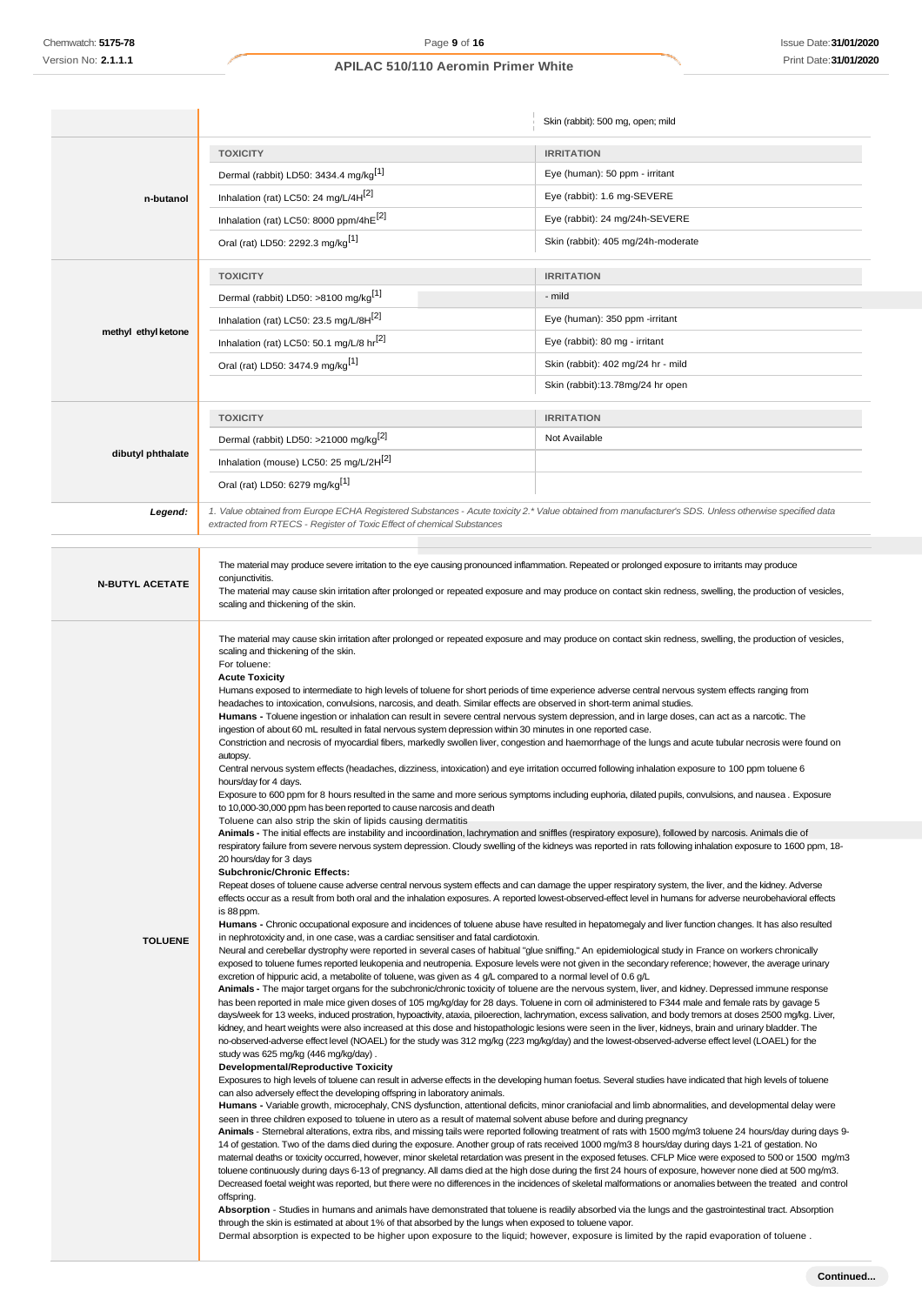|                        |                                                                                                                                                                                                                                                                                                                                                                                                                                                                                                                                                                                                                                                                                                                                                                                                                                                                                                                                                                                                                                                                                                                                                                                                                      | Skin (rabbit): 500 mg, open; mild  |  |
|------------------------|----------------------------------------------------------------------------------------------------------------------------------------------------------------------------------------------------------------------------------------------------------------------------------------------------------------------------------------------------------------------------------------------------------------------------------------------------------------------------------------------------------------------------------------------------------------------------------------------------------------------------------------------------------------------------------------------------------------------------------------------------------------------------------------------------------------------------------------------------------------------------------------------------------------------------------------------------------------------------------------------------------------------------------------------------------------------------------------------------------------------------------------------------------------------------------------------------------------------|------------------------------------|--|
|                        | <b>TOXICITY</b>                                                                                                                                                                                                                                                                                                                                                                                                                                                                                                                                                                                                                                                                                                                                                                                                                                                                                                                                                                                                                                                                                                                                                                                                      | <b>IRRITATION</b>                  |  |
|                        | Dermal (rabbit) LD50: 3434.4 mg/kg <sup>[1]</sup>                                                                                                                                                                                                                                                                                                                                                                                                                                                                                                                                                                                                                                                                                                                                                                                                                                                                                                                                                                                                                                                                                                                                                                    | Eye (human): 50 ppm - irritant     |  |
| n-butanol              | Inhalation (rat) LC50: 24 mg/L/4H <sup>[2]</sup>                                                                                                                                                                                                                                                                                                                                                                                                                                                                                                                                                                                                                                                                                                                                                                                                                                                                                                                                                                                                                                                                                                                                                                     | Eye (rabbit): 1.6 mg-SEVERE        |  |
|                        | Inhalation (rat) LC50: 8000 ppm/4hE[2]                                                                                                                                                                                                                                                                                                                                                                                                                                                                                                                                                                                                                                                                                                                                                                                                                                                                                                                                                                                                                                                                                                                                                                               | Eye (rabbit): 24 mg/24h-SEVERE     |  |
|                        | Oral (rat) LD50: 2292.3 mg/kg <sup>[1]</sup>                                                                                                                                                                                                                                                                                                                                                                                                                                                                                                                                                                                                                                                                                                                                                                                                                                                                                                                                                                                                                                                                                                                                                                         | Skin (rabbit): 405 mg/24h-moderate |  |
|                        | <b>TOXICITY</b>                                                                                                                                                                                                                                                                                                                                                                                                                                                                                                                                                                                                                                                                                                                                                                                                                                                                                                                                                                                                                                                                                                                                                                                                      | <b>IRRITATION</b>                  |  |
|                        | Dermal (rabbit) LD50: >8100 mg/kg <sup>[1]</sup>                                                                                                                                                                                                                                                                                                                                                                                                                                                                                                                                                                                                                                                                                                                                                                                                                                                                                                                                                                                                                                                                                                                                                                     | - mild                             |  |
|                        | Inhalation (rat) LC50: 23.5 mg/L/8H <sup>[2]</sup>                                                                                                                                                                                                                                                                                                                                                                                                                                                                                                                                                                                                                                                                                                                                                                                                                                                                                                                                                                                                                                                                                                                                                                   | Eye (human): 350 ppm -irritant     |  |
| methyl ethyl ketone    | Inhalation (rat) LC50: 50.1 mg/L/8 hr[2]                                                                                                                                                                                                                                                                                                                                                                                                                                                                                                                                                                                                                                                                                                                                                                                                                                                                                                                                                                                                                                                                                                                                                                             | Eye (rabbit): 80 mg - irritant     |  |
|                        | Oral (rat) LD50: 3474.9 mg/kg <sup>[1]</sup>                                                                                                                                                                                                                                                                                                                                                                                                                                                                                                                                                                                                                                                                                                                                                                                                                                                                                                                                                                                                                                                                                                                                                                         | Skin (rabbit): 402 mg/24 hr - mild |  |
|                        |                                                                                                                                                                                                                                                                                                                                                                                                                                                                                                                                                                                                                                                                                                                                                                                                                                                                                                                                                                                                                                                                                                                                                                                                                      | Skin (rabbit):13.78mg/24 hr open   |  |
|                        | <b>TOXICITY</b>                                                                                                                                                                                                                                                                                                                                                                                                                                                                                                                                                                                                                                                                                                                                                                                                                                                                                                                                                                                                                                                                                                                                                                                                      | <b>IRRITATION</b>                  |  |
|                        | Dermal (rabbit) LD50: >21000 mg/kg <sup>[2]</sup>                                                                                                                                                                                                                                                                                                                                                                                                                                                                                                                                                                                                                                                                                                                                                                                                                                                                                                                                                                                                                                                                                                                                                                    | Not Available                      |  |
| dibutyl phthalate      | Inhalation (mouse) LC50: 25 mg/L/2H[2]                                                                                                                                                                                                                                                                                                                                                                                                                                                                                                                                                                                                                                                                                                                                                                                                                                                                                                                                                                                                                                                                                                                                                                               |                                    |  |
|                        | Oral (rat) LD50: 6279 mg/kg <sup>[1]</sup>                                                                                                                                                                                                                                                                                                                                                                                                                                                                                                                                                                                                                                                                                                                                                                                                                                                                                                                                                                                                                                                                                                                                                                           |                                    |  |
| Legend:                | 1. Value obtained from Europe ECHA Registered Substances - Acute toxicity 2.* Value obtained from manufacturer's SDS. Unless otherwise specified data<br>extracted from RTECS - Register of Toxic Effect of chemical Substances                                                                                                                                                                                                                                                                                                                                                                                                                                                                                                                                                                                                                                                                                                                                                                                                                                                                                                                                                                                      |                                    |  |
|                        |                                                                                                                                                                                                                                                                                                                                                                                                                                                                                                                                                                                                                                                                                                                                                                                                                                                                                                                                                                                                                                                                                                                                                                                                                      |                                    |  |
| <b>N-BUTYL ACETATE</b> | The material may produce severe irritation to the eye causing pronounced inflammation. Repeated or prolonged exposure to irritants may produce<br>conjunctivitis.<br>The material may cause skin irritation after prolonged or repeated exposure and may produce on contact skin redness, swelling, the production of vesicles,<br>scaling and thickening of the skin.                                                                                                                                                                                                                                                                                                                                                                                                                                                                                                                                                                                                                                                                                                                                                                                                                                               |                                    |  |
|                        | scaling and thickening of the skin.<br>For toluene:<br><b>Acute Toxicity</b><br>Humans exposed to intermediate to high levels of toluene for short periods of time experience adverse central nervous system effects ranging from<br>headaches to intoxication, convulsions, narcosis, and death. Similar effects are observed in short-term animal studies.<br>Humans - Toluene ingestion or inhalation can result in severe central nervous system depression, and in large doses, can act as a narcotic. The<br>ingestion of about 60 mL resulted in fatal nervous system depression within 30 minutes in one reported case.<br>Constriction and necrosis of myocardial fibers, markedly swollen liver, congestion and haemorrhage of the lungs and acute tubular necrosis were found on<br>autopsy.<br>Central nervous system effects (headaches, dizziness, intoxication) and eye irritation occurred following inhalation exposure to 100 ppm toluene 6<br>hours/day for 4 days.<br>Exposure to 600 ppm for 8 hours resulted in the same and more serious symptoms including euphoria, dilated pupils, convulsions, and nausea. Exposure<br>to 10,000-30,000 ppm has been reported to cause narcosis and death |                                    |  |
|                        | Toluene can also strip the skin of lipids causing dermatitis<br>Animals - The initial effects are instability and incoordination, lachrymation and sniffles (respiratory exposure), followed by narcosis. Animals die of                                                                                                                                                                                                                                                                                                                                                                                                                                                                                                                                                                                                                                                                                                                                                                                                                                                                                                                                                                                             |                                    |  |
|                        | respiratory failure from severe nervous system depression. Cloudy swelling of the kidneys was reported in rats following inhalation exposure to 1600 ppm, 18-<br>20 hours/day for 3 days                                                                                                                                                                                                                                                                                                                                                                                                                                                                                                                                                                                                                                                                                                                                                                                                                                                                                                                                                                                                                             |                                    |  |
|                        | <b>Subchronic/Chronic Effects:</b><br>Repeat doses of toluene cause adverse central nervous system effects and can damage the upper respiratory system, the liver, and the kidney. Adverse                                                                                                                                                                                                                                                                                                                                                                                                                                                                                                                                                                                                                                                                                                                                                                                                                                                                                                                                                                                                                           |                                    |  |
|                        | effects occur as a result from both oral and the inhalation exposures. A reported lowest-observed-effect level in humans for adverse neurobehavioral effects                                                                                                                                                                                                                                                                                                                                                                                                                                                                                                                                                                                                                                                                                                                                                                                                                                                                                                                                                                                                                                                         |                                    |  |
|                        | is 88 ppm.<br>Humans - Chronic occupational exposure and incidences of toluene abuse have resulted in hepatomegaly and liver function changes. It has also resulted                                                                                                                                                                                                                                                                                                                                                                                                                                                                                                                                                                                                                                                                                                                                                                                                                                                                                                                                                                                                                                                  |                                    |  |
| <b>TOLUENE</b>         | in nephrotoxicity and, in one case, was a cardiac sensitiser and fatal cardiotoxin.<br>Neural and cerebellar dystrophy were reported in several cases of habitual "glue sniffing." An epidemiological study in France on workers chronically                                                                                                                                                                                                                                                                                                                                                                                                                                                                                                                                                                                                                                                                                                                                                                                                                                                                                                                                                                         |                                    |  |
|                        | exposed to toluene fumes reported leukopenia and neutropenia. Exposure levels were not given in the secondary reference; however, the average urinary<br>excretion of hippuric acid, a metabolite of toluene, was given as 4 g/L compared to a normal level of 0.6 g/L                                                                                                                                                                                                                                                                                                                                                                                                                                                                                                                                                                                                                                                                                                                                                                                                                                                                                                                                               |                                    |  |
|                        | Animals - The major target organs for the subchronic/chronic toxicity of toluene are the nervous system, liver, and kidney. Depressed immune response<br>has been reported in male mice given doses of 105 mg/kg/day for 28 days. Toluene in corn oil administered to F344 male and female rats by gavage 5<br>days/week for 13 weeks, induced prostration, hypoactivity, ataxia, piloerection, lachrymation, excess salivation, and body tremors at doses 2500 mg/kg. Liver,<br>kidney, and heart weights were also increased at this dose and histopathologic lesions were seen in the liver, kidneys, brain and urinary bladder. The<br>no-observed-adverse effect level (NOAEL) for the study was 312 mg/kg (223 mg/kg/day) and the lowest-observed-adverse effect level (LOAEL) for the                                                                                                                                                                                                                                                                                                                                                                                                                         |                                    |  |
|                        | study was 625 mg/kg (446 mg/kg/day).<br><b>Developmental/Reproductive Toxicity</b>                                                                                                                                                                                                                                                                                                                                                                                                                                                                                                                                                                                                                                                                                                                                                                                                                                                                                                                                                                                                                                                                                                                                   |                                    |  |
|                        | Exposures to high levels of toluene can result in adverse effects in the developing human foetus. Several studies have indicated that high levels of toluene<br>can also adversely effect the developing offspring in laboratory animals.                                                                                                                                                                                                                                                                                                                                                                                                                                                                                                                                                                                                                                                                                                                                                                                                                                                                                                                                                                            |                                    |  |
|                        | Humans - Variable growth, microcephaly, CNS dysfunction, attentional deficits, minor craniofacial and limb abnormalities, and developmental delay were<br>seen in three children exposed to toluene in utero as a result of maternal solvent abuse before and during pregnancy                                                                                                                                                                                                                                                                                                                                                                                                                                                                                                                                                                                                                                                                                                                                                                                                                                                                                                                                       |                                    |  |
|                        | Animals - Stemebral alterations, extra ribs, and missing tails were reported following treatment of rats with 1500 mg/m3 toluene 24 hours/day during days 9-<br>14 of gestation. Two of the dams died during the exposure. Another group of rats received 1000 mg/m3 8 hours/day during days 1-21 of gestation. No<br>matemal deaths or toxicity occurred, however, minor skeletal retardation was present in the exposed fetuses. CFLP Mice were exposed to 500 or 1500 mg/m3<br>toluene continuously during days 6-13 of pregnancy. All dams died at the high dose during the first 24 hours of exposure, however none died at 500 mg/m3.<br>Decreased foetal weight was reported, but there were no differences in the incidences of skeletal malformations or anomalies between the treated and control                                                                                                                                                                                                                                                                                                                                                                                                          |                                    |  |
|                        | offspring.<br>Absorption - Studies in humans and animals have demonstrated that toluene is readily absorbed via the lungs and the gastrointestinal tract. Absorption<br>through the skin is estimated at about 1% of that absorbed by the lungs when exposed to toluene vapor.<br>Dermal absorption is expected to be higher upon exposure to the liquid; however, exposure is limited by the rapid evaporation of toluene.                                                                                                                                                                                                                                                                                                                                                                                                                                                                                                                                                                                                                                                                                                                                                                                          |                                    |  |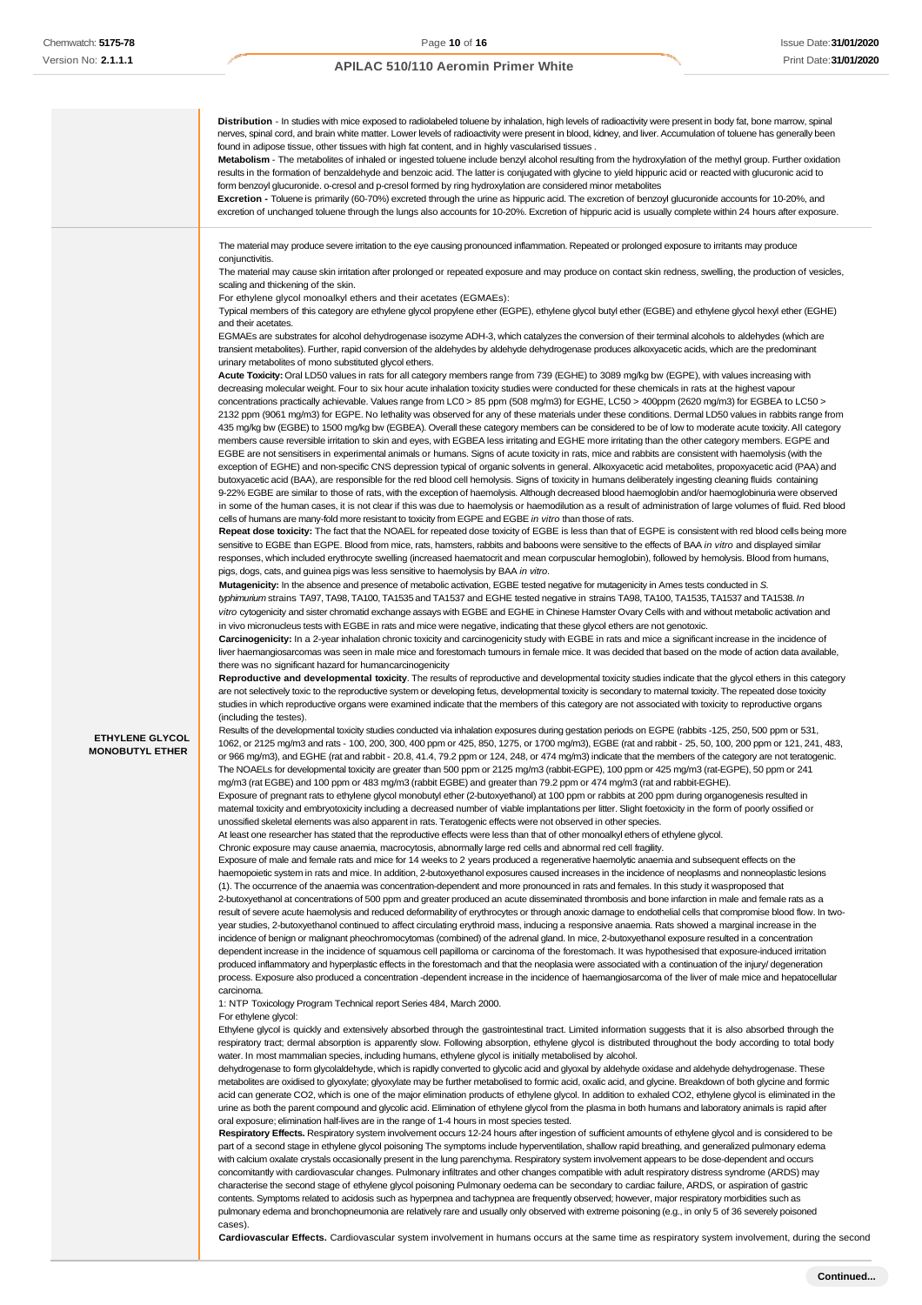**Distribution** - In studies with mice exposed to radiolabeled toluene by inhalation, high levels of radioactivity were present in body fat, bone marrow, spinal ves, spinal cord, and brain white matter. Lower levels of radioactivity were present in blood, kidney, and liver. Accumulation of toluene has generally been found in adipose tissue, other tissues with high fat content, and in highly vascularised tissues **Metabolism** - The metabolites of inhaled or ingested toluene include benzyl alcohol resulting from the hydroxylation of the methyl group. Further oxidation results in the formation of benzaldehyde and benzoic acid. The latter is conjugated with glycine to yield hippuric acid or reacted with glucuronic acid to form benzoyl glucuronide. o-cresol and p-cresol formed by ring hydroxylation are considered minor metabolites **Excretion -** Toluene is primarily (60-70%) excreted through the urine as hippuric acid. The excretion of benzoyl glucuronide accounts for 10-20%, and excretion of unchanged toluene through the lungs also accounts for 10-20%. Excretion of hippuric acid is usually complete within 24 hours after exposure. **ETHYLENE GLYCOL MONOBUTYL ETHER** The material may produce severe irritation to the eye causing pronounced inflammation. Repeated or prolonged exposure to irritants may produce conjunctivitis. The material may cause skin irritation after prolonged or repeated exposure and may produce on contact skin redness, swelling, the production of vesicles, scaling and thickening of the skin. For ethylene glycol monoalkyl ethers and their acetates (EGMAEs): Typical members of this category are ethylene glycol propylene ether (EGPE), ethylene glycol butyl ether (EGBE) and ethylene glycol hexyl ether (EGHE) and their acetates. EGMAEs are substrates for alcohol dehydrogenase isozyme ADH-3, which catalyzes the conversion of their terminal alcohols to aldehydes (which are transient metabolites). Further, rapid conversion of the aldehydes by aldehyde dehydrogenase produces alkoxyacetic acids, which are the predominant urinary metabolites of mono substituted glycol ethers. **Acute Toxicity:** Oral LD50 values in rats for all category members range from 739 (EGHE) to 3089 mg/kg bw (EGPE), with values increasing with decreasing molecular weight. Four to six hour acute inhalation toxicity studies were conducted for these chemicals in rats at the highest vapour concentrations practically achievable. Values range from LC0 > 85 ppm (508 mg/m3) for EGHE, LC50 > 400ppm (2620 mg/m3) for EGBEA to LC50 > 2132 ppm (9061 mg/m3) for EGPE. No lethality was observed for any of these materials under these conditions. Dermal LD50 values in rabbits range from 435 mg/kg bw (EGBE) to 1500 mg/kg bw (EGBEA). Overall these category members can be considered to be of low to moderate acute toxicity. All category members cause reversible irritation to skin and eyes, with EGBEA less irritating and EGHE more irritating than the other category members. EGPE and EGBE are not sensitisers in experimental animals or humans. Signs of acute toxicity in rats, mice and rabbits are consistent with haemolysis (with the exception of EGHE) and non-specific CNS depression typical of organic solvents in general. Alkoxyacetic acid metabolites, propoxyacetic acid (PAA) and butoxyacetic acid (BAA), are responsible for the red blood cell hemolysis. Signs of toxicity in humans deliberately ingesting cleaning fluids containing 9-22% EGBE are similar to those of rats, with the exception of haemolysis. Although decreased blood haemoglobin and/or haemoglobinuria were observed in some of the human cases, it is not clear if this was due to haemolysis or haemodilution as a result of administration of large volumes of fluid. Red blood cells of humans are many-fold more resistant to toxicity from EGPE and EGBE *in vitro* than those of rats. **Repeat dose toxicity:** The fact that the NOAEL for repeated dose toxicity of EGBE is less than that of EGPE is consistent with red blood cells being more sensitive to EGBE than EGPE. Blood from mice, rats, hamsters, rabbits and baboons were sensitive to the effects of BAA *in vitro* and displayed similar responses, which included erythrocyte swelling (increased haematocrit and mean corpuscular hemoglobin), followed by hemolysis. Blood from humans, pigs, dogs, cats, and guinea pigs was less sensitive to haemolysis by BAA *in vitro*. **Mutagenicity:** In the absence and presence of metabolic activation, EGBE tested negative for mutagenicity in Ames tests conducted in *S. typhimurium* strains TA97, TA98, TA100, TA1535 and TA1537 and EGHE tested negative in strains TA98, TA100, TA1535, TA1537 and TA1538. *In vitro* cytogenicity and sister chromatid exchange assays with EGBE and EGHE in Chinese Hamster Ovary Cells with and without metabolic activation and in vivo micronucleus tests with EGBE in rats and mice were negative, indicating that these glycol ethers are not genotoxic. **Carcinogenicity:** In a 2-year inhalation chronic toxicity and carcinogenicity study with EGBE in rats and mice a significant increase in the incidence of liver haemangiosarcomas was seen in male mice and forestomach tumours in female mice. It was decided that based on the mode of action data available there was no significant hazard for humancarcinogenicity Reproductive and developmental toxicity. The results of reproductive and developmental toxicity studies indicate that the glycol ethers in this category are not selectively toxic to the reproductive system or developing fetus, developmental toxicity is secondary to maternal toxicity. The repeated dose toxicity studies in which reproductive organs were examined indicate that the members of this category are not associated with toxicity to reproductive organs (including the testes). Results of the developmental toxicity studies conducted via inhalation exposures during gestation periods on EGPE (rabbits -125, 250, 500 ppm or 531, 1062, or 2125 mg/m3 and rats - 100, 200, 300, 400 ppm or 425, 850, 1275, or 1700 mg/m3), EGBE (rat and rabbit - 25, 50, 100, 200 ppm or 121, 241, 483, or 966 mg/m3), and EGHE (rat and rabbit - 20.8, 41.4, 79.2 ppm or 124, 248, or 474 mg/m3) indicate that the members of the category are not teratogenic. The NOAELs for developmental toxicity are greater than 500 ppm or 2125 mg/m3 (rabbit-EGPE), 100 ppm or 425 mg/m3 (rat-EGPE), 50 ppm or 241 mg/m3 (rat EGBE) and 100 ppm or 483 mg/m3 (rabbit EGBE) and greater than 79.2 ppm or 474 mg/m3 (rat and rabbit-EGHE). Exposure of pregnant rats to ethylene glycol monobutyl ether (2-butoxyethanol) at 100 ppm or rabbits at 200 ppm during organogenesis resulted in maternal toxicity and embryotoxicity including a decreased number of viable implantations per litter. Slight foetoxicity in the form of poorly ossified or unossified skeletal elements was also apparent in rats. Teratogenic effects were not observed in other species. At least one researcher has stated that the reproductive effects were less than that of other monoalkyl ethers of ethylene glycol. Chronic exposure may cause anaemia, macrocytosis, abnormally large red cells and abnormal red cell fragility. Exposure of male and female rats and mice for 14 weeks to 2 years produced a regenerative haemolytic anaemia and subsequent effects on the haemopoietic system in rats and mice. In addition, 2-butoxyethanol exposures caused increases in the incidence of neoplasms and nonneoplastic lesions (1). The occurrence of the anaemia was concentration-dependent and more pronounced in rats and females. In this study it wasproposed that 2-butoxyethanol at concentrations of 500 ppm and greater produced an acute disseminated thrombosis and bone infarction in male and female rats as a result of severe acute haemolysis and reduced deformability of erythrocytes or through anoxic damage to endothelial cells that compromise blood flow. In twoyear studies, 2-butoxyethanol continued to affect circulating erythroid mass, inducing a responsive anaemia. Rats showed a marginal increase in the incidence of benign or malignant pheochromocytomas (combined) of the adrenal gland. In mice, 2-butoxyethanol exposure resulted in a concentration dependent increase in the incidence of squamous cell papilloma or carcinoma of the forestomach. It was hypothesised that exposure-induced irritation produced inflammatory and hyperplastic effects in the forestomach and that the neoplasia were associated with a continuation of the injury/ degeneration process. Exposure also produced a concentration -dependent increase in the incidence of haemangiosarcoma of the liver of male mice and hepatocellular carcinoma. 1: NTP Toxicology Program Technical report Series 484, March 2000. For ethylene glycol: Ethylene glycol is quickly and extensively absorbed through the gastrointestinal tract. Limited information suggests that it is also absorbed through the respiratory tract; dermal absorption is apparently slow. Following absorption, ethylene glycol is distributed throughout the body according to total body water. In most mammalian species, including humans, ethylene glycol is initially metabolised by alcohol. dehydrogenase to form glycolaldehyde, which is rapidly converted to glycolic acid and glyoxal by aldehyde oxidase and aldehyde dehydrogenase. These metabolites are oxidised to glyoxylate; glyoxylate may be further metabolised to formic acid, oxalic acid, and glycine. Breakdown of both glycine and formic acid can generate CO2, which is one of the major elimination products of ethylene glycol. In addition to exhaled CO2, ethylene glycol is eliminated in the urine as both the parent compound and glycolic acid. Elimination of ethylene glycol from the plasma in both humans and laboratory animals is rapid after oral exposure; elimination half-lives are in the range of 1-4 hours in most species tested. Respiratory Effects. Respiratory system involvement occurs 12-24 hours after ingestion of sufficient amounts of ethylene glycol and is considered to be part of a second stage in ethylene glycol poisoning The symptoms include hyperventilation, shallow rapid breathing, and generalized pulmonary edema with calcium oxalate crystals occasionally present in the lung parenchyma. Respiratory system involvement appears to be dose-dependent and occurs concomitantly with cardiovascular changes. Pulmonary infiltrates and other changes compatible with adult respiratory distress syndrome (ARDS) may characterise the second stage of ethylene glycol poisoning Pulmonary oedema can be secondary to cardiac failure, ARDS, or aspiration of gastric contents. Symptoms related to acidosis such as hyperpnea and tachypnea are frequently observed; however, major respiratory morbidities such as pulmonary edema and bronchopneumonia are relatively rare and usually only observed with extreme poisoning (e.g., in only 5 of 36 severely poisoned

**Cardiovascular Effects.** Cardiovascular system involvement in humans occurs at the same time as respiratory system involvement, during the second

cases).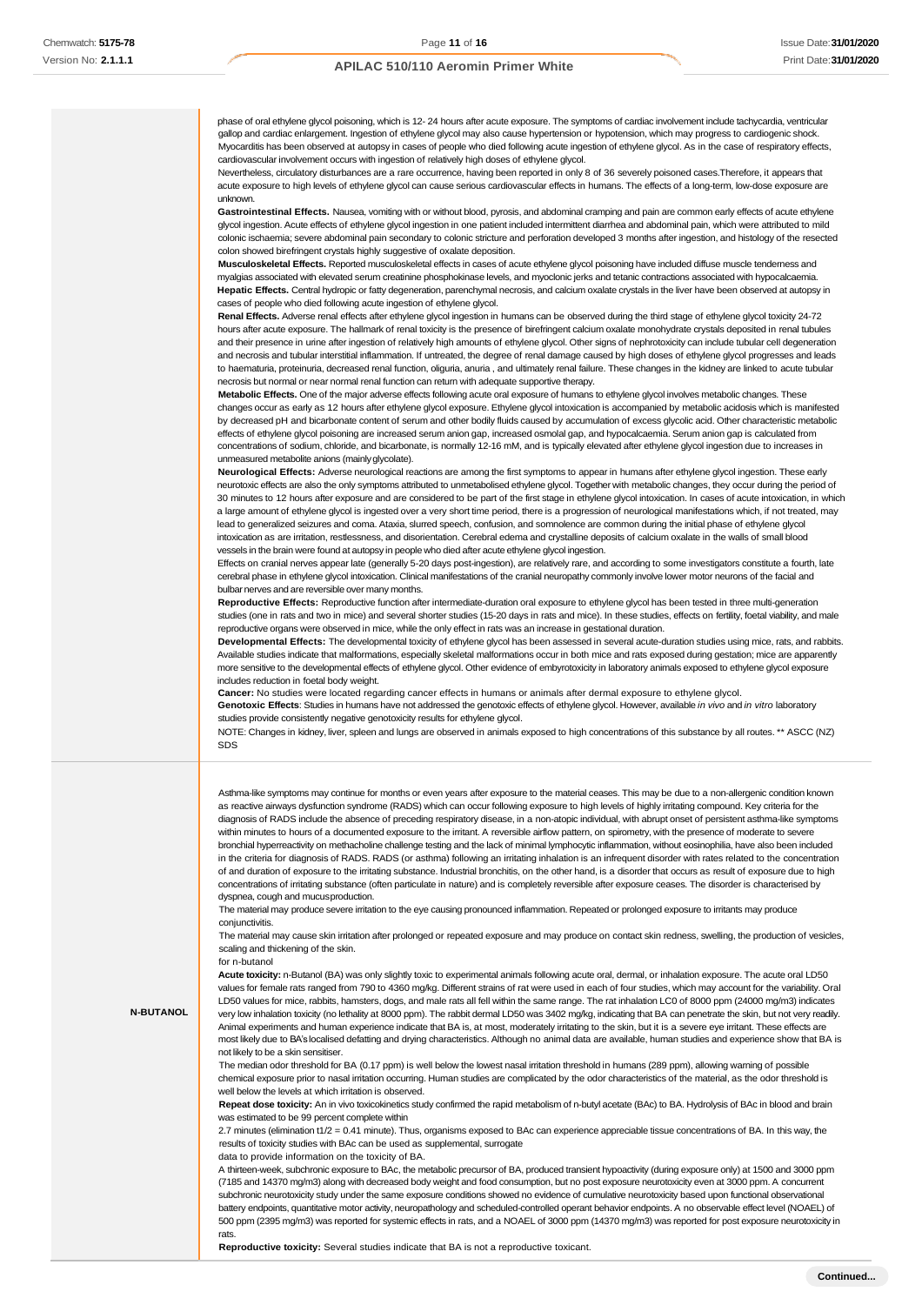phase of oral ethylene glycol poisoning, which is 12- 24 hours after acute exposure. The symptoms of cardiac involvement include tachycardia, ventricular gallop and cardiac enlargement. Ingestion of ethylene glycol may also cause hypertension or hypotension, which may progress to cardiogenic shock. Myocarditis has been observed at autopsy in cases of people who died following acute ingestion of ethylene glycol. As in the case of respiratory effects, cardiovascular involvement occurs with ingestion of relatively high doses of ethylene glycol.

Nevertheless, circulatory disturbances are a rare occurrence, having been reported in only 8 of 36 severely poisoned cases.Therefore, it appears that acute exposure to high levels of ethylene glycol can cause serious cardiovascular effects in humans. The effects of a long-term, low-dose exposure are unknown.

**Gastrointestinal Effects.** Nausea, vomiting with or without blood, pyrosis, and abdominal cramping and pain are common early effects of acute ethylene glycol ingestion. Acute effects of ethylene glycol ingestion in one patient included intermittent diarrhea and abdominal pain, which were attributed to mild colonic ischaemia; severe abdominal pain secondary to colonic stricture and perforation developed 3 months after ingestion, and histology of the resected colon showed birefringent crystals highly suggestive of oxalate deposition.

**Musculoskeletal Effects.** Reported musculoskeletal effects in cases of acute ethylene glycol poisoning have included diffuse muscle tenderness and myalgias associated with elevated serum creatinine phosphokinase levels, and myoclonic jerks and tetanic contractions associated with hypocalcaemia. **Hepatic Effects.** Central hydropic or fatty degeneration, parenchymal necrosis, and calcium oxalate crystals in the liver have been observed at autopsy in cases of people who died following acute ingestion of ethylene glycol.

**Renal Effects.** Adverse renal effects after ethylene glycol ingestion in humans can be observed during the third stage of ethylene glycol toxicity 24-72 hours after acute exposure. The hallmark of renal toxicity is the presence of birefringent calcium oxalate monohydrate crystals deposited in renal tubules and their presence in urine after ingestion of relatively high amounts of ethylene glycol. Other signs of nephrotoxicity can include tubular cell degeneration and necrosis and tubular interstitial inflammation. If untreated, the degree of renal damage caused by high doses of ethylene glycol progresses and leads to haematuria, proteinuria, decreased renal function, oliguria, anuria , and ultimately renal failure. These changes in the kidney are linked to acute tubular necrosis but normal or near normal renal function can return with adequate supportive therapy.

**Metabolic Effects.** One of the major adverse effects following acute oral exposure of humans to ethylene glycol involves metabolic changes. These changes occur as early as 12 hours after ethylene glycol exposure. Ethylene glycol intoxication is accompanied by metabolic acidosis which is manifested by decreased pH and bicarbonate content of serum and other bodily fluids caused by accumulation of excess glycolic acid. Other characteristic metabolic effects of ethylene glycol poisoning are increased serum anion gap, increased osmolal gap, and hypocalcaemia. Serum anion gap is calculated from concentrations of sodium, chloride, and bicarbonate, is normally 12-16 mM, and is typically elevated after ethylene glycol ingestion due to increases in unmeasured metabolite anions (mainlyglycolate).

**Neurological Effects:** Adverse neurological reactions are among the first symptoms to appear in humans after ethylene glycol ingestion. These early neurotoxic effects are also the only symptoms attributed to unmetabolised ethylene glycol. Together with metabolic changes, they occur during the period of 30 minutes to 12 hours after exposure and are considered to be part of the first stage in ethylene glycol intoxication. In cases of acute intoxication, in which a large amount of ethylene glycol is ingested over a very short time period, there is a progression of neurological manifestations which, if not treated, may lead to generalized seizures and coma. Ataxia, slurred speech, confusion, and somnolence are common during the initial phase of ethylene glycol intoxication as are irritation, restlessness, and disorientation. Cerebral edema and crystalline deposits of calcium oxalate in the walls of small blood vessels in the brain were found at autopsy in people who died after acute ethylene glycol ingestion.

Effects on cranial nerves appear late (generally 5-20 days post-ingestion), are relatively rare, and according to some investigators constitute a fourth, late cerebral phase in ethylene glycol intoxication. Clinical manifestations of the cranial neuropathy commonly involve lower motor neurons of the facial and bulbar nerves and are reversible over many months.

Reproductive Effects: Reproductive function after intermediate-duration oral exposure to ethylene glycol has been tested in three multi-generation studies (one in rats and two in mice) and several shorter studies (15-20 days in rats and mice). In these studies, effects on fertility, foetal viability, and male reproductive organs were observed in mice, while the only effect in rats was an increase in gestational duration.

**Developmental Effects:** The developmental toxicity of ethylene glycol has been assessed in several acute-duration studies using mice, rats, and rabbits. Available studies indicate that malformations, especially skeletal malformations occur in both mice and rats exposed during gestation; mice are apparently more sensitive to the developmental effects of ethylene glycol. Other evidence of embyrotoxicity in laboratory animals exposed to ethylene glycol exposure includes reduction in foetal body weight.

**Cancer:** No studies were located regarding cancer effects in humans or animals after dermal exposure to ethylene glycol.

**Genotoxic Effects**: Studies in humans have not addressed the genotoxic effects of ethylene glycol. However, available *in vivo* and *in vitro* laboratory studies provide consistently negative genotoxicity results for ethylene glycol.

NOTE: Changes in kidney, liver, spleen and lungs are observed in animals exposed to high concentrations of this substance by all routes. \*\* ASCC (NZ) SDS

Asthma-like symptoms may continue for months or even years after exposure to the material ceases. This may be due to a non-allergenic condition known as reactive airways dysfunction syndrome (RADS) which can occur following exposure to high levels of highly irritating compound. Key criteria for the diagnosis of RADS include the absence of preceding respiratory disease, in a non-atopic individual, with abrupt onset of persistent asthma-like symptoms within minutes to hours of a documented exposure to the irritant. A reversible airflow pattern, on spirometry, with the presence of moderate to severe bronchial hyperreactivity on methacholine challenge testing and the lack of minimal lymphocytic inflammation, without eosinophilia, have also been included in the criteria for diagnosis of RADS. RADS (or asthma) following an irritating inhalation is an infrequent disorder with rates related to the concentration of and duration of exposure to the irritating substance. Industrial bronchitis, on the other hand, is a disorder that occurs as result of exposure due to high concentrations of irritating substance (often particulate in nature) and is completely reversible after exposure ceases. The disorder is characterised by dyspnea, cough and mucusproduction.

The material may produce severe irritation to the eye causing pronounced inflammation. Repeated or prolonged exposure to irritants may produce conjunctivitis.

The material may cause skin irritation after prolonged or repeated exposure and may produce on contact skin redness, swelling, the production of vesicles, scaling and thickening of the skin.

#### for n-butanol

**N-BUTANOL**

**Acute toxicity:** n-Butanol (BA) was only slightly toxic to experimental animals following acute oral, dermal, or inhalation exposure. The acute oral LD50 values for female rats ranged from 790 to 4360 mg/kg. Different strains of rat were used in each of four studies, which may account for the variability. Oral LD50 values for mice, rabbits, hamsters, dogs, and male rats all fell within the same range. The rat inhalation LC0 of 8000 ppm (24000 mg/m3) indicates very low inhalation toxicity (no lethality at 8000 ppm). The rabbit dermal LD50 was 3402 mg/kg, indicating that BA can penetrate the skin, but not very readily. Animal experiments and human experience indicate that BA is, at most, moderately irritating to the skin, but it is a severe eye irritant. These effects are most likely due to BA's localised defatting and drying characteristics. Although no animal data are available, human studies and experience show that BA is not likely to be a skin sensitiser.

The median odor threshold for BA (0.17 ppm) is well below the lowest nasal irritation threshold in humans (289 ppm), allowing warning of possible chemical exposure prior to nasal irritation occurring. Human studies are complicated by the odor characteristics of the material, as the odor threshold is well below the levels at which irritation is observed.

**Repeat dose toxicity:** An in vivo toxicokinetics study confirmed the rapid metabolism of n-butyl acetate (BAc) to BA. Hydrolysis of BAc in blood and brain was estimated to be 99 percent complete within

2.7 minutes (elimination t1/2 = 0.41 minute). Thus, organisms exposed to BAc can experience appreciable tissue concentrations of BA. In this way, the results of toxicity studies with BAc can be used as supplemental, surrogate

data to provide information on the toxicity of BA.

A thirteen-week, subchronic exposure to BAc, the metabolic precursor of BA, produced transient hypoactivity (during exposure only) at 1500 and 3000 ppm (7185 and 14370 mg/m3) along with decreased body weight and food consumption, but no post exposure neurotoxicity even at 3000 ppm. A concurrent subchronic neurotoxicity study under the same exposure conditions showed no evidence of cumulative neurotoxicity based upon functional observational battery endpoints, quantitative motor activity, neuropathology and scheduled-controlled operant behavior endpoints. A no observable effect level (NOAEL) of 500 ppm (2395 mg/m3) was reported for systemic effects in rats, and a NOAEL of 3000 ppm (14370 mg/m3) was reported for post exposure neurotoxicity in rats.

**Reproductive toxicity:** Several studies indicate that BA is not a reproductive toxicant.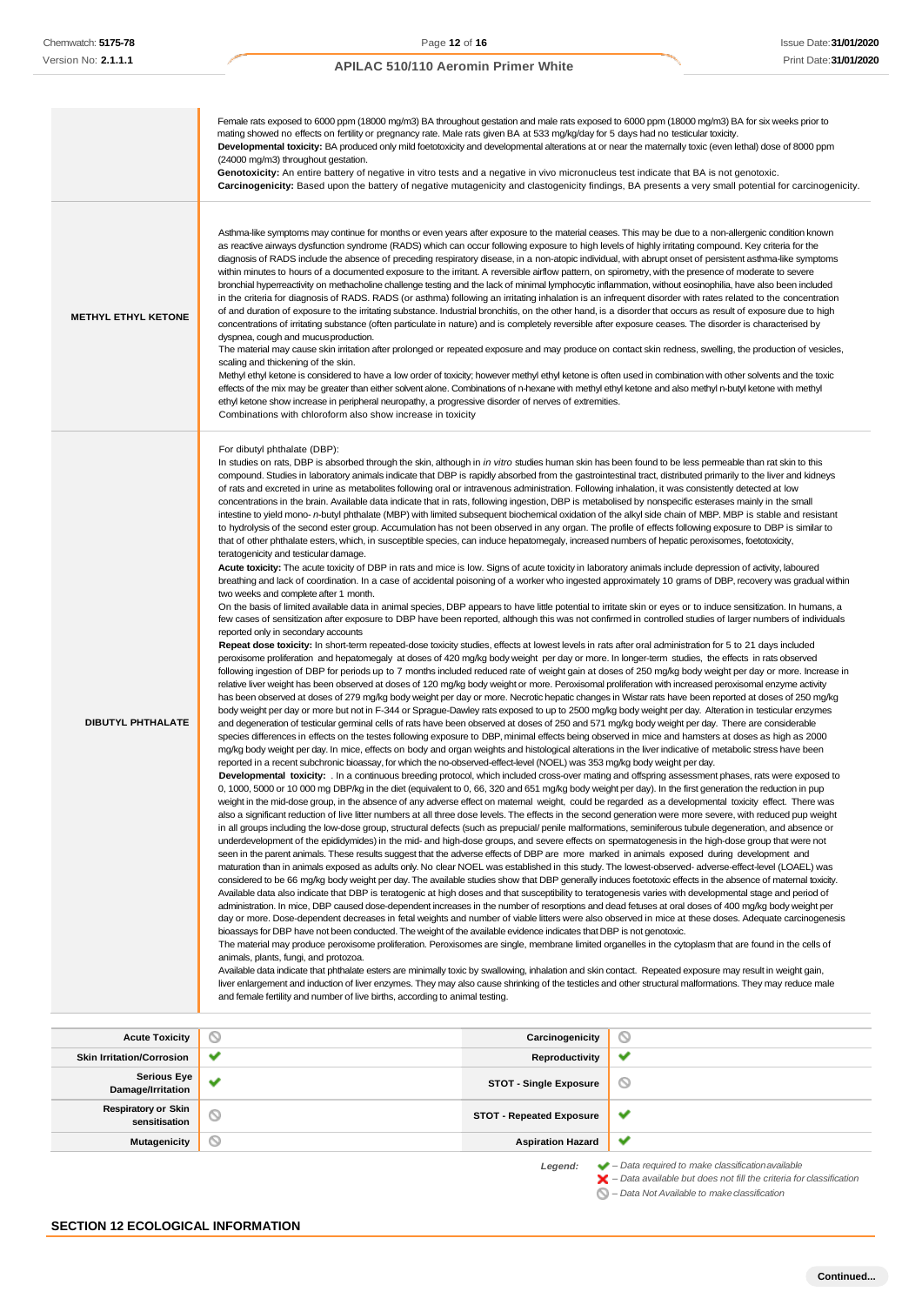|                                                                  | Female rats exposed to 6000 ppm (18000 mg/m3) BA throughout gestation and male rats exposed to 6000 ppm (18000 mg/m3) BA for six weeks prior to<br>mating showed no effects on fertility or pregnancy rate. Male rats given BA at 533 mg/kg/day for 5 days had no testicular toxicity.<br>Developmental toxicity: BA produced only mild foetotoxicity and developmental alterations at or near the matemally toxic (even lethal) dose of 8000 ppm<br>(24000 mg/m3) throughout gestation.<br>Genotoxicity: An entire battery of negative in vitro tests and a negative in vivo micronucleus test indicate that BA is not genotoxic.<br>Carcinogenicity: Based upon the battery of negative mutagenicity and clastogenicity findings, BA presents a very small potential for carcinogenicity.                                                                                                                                                                                                                                                                                                                                                                                                                                                                                                                                                                                                                                                                                                                                                                                                                                                                                                                                                                                                                                                                                                                                                                                                                                                                                                                                                                                                                                                                                                                                                                                                                                                                                                                                                                                                                                                                                                                                                                                                                                                                                                                                                                                                                                                                                                                                                                                                                                                                                                                                                                                                                                                                                                                                                                                                                                                                                                                                                                                                                                                                                                                                                                                                                                                                                                                                                                                                                                                                                                                                                                                                                                                                                                                                                                                                                                                                                                                                                                                                                                                                                                                                                                                                                                                                                                                                                                                                                                                                                                                                                                                                                                                                                                                                                                                                                                                                                                                                                                                                                                                                                                                                                                                                                                                                                                                                                                                                                                                                                   |                                 |   |
|------------------------------------------------------------------|-------------------------------------------------------------------------------------------------------------------------------------------------------------------------------------------------------------------------------------------------------------------------------------------------------------------------------------------------------------------------------------------------------------------------------------------------------------------------------------------------------------------------------------------------------------------------------------------------------------------------------------------------------------------------------------------------------------------------------------------------------------------------------------------------------------------------------------------------------------------------------------------------------------------------------------------------------------------------------------------------------------------------------------------------------------------------------------------------------------------------------------------------------------------------------------------------------------------------------------------------------------------------------------------------------------------------------------------------------------------------------------------------------------------------------------------------------------------------------------------------------------------------------------------------------------------------------------------------------------------------------------------------------------------------------------------------------------------------------------------------------------------------------------------------------------------------------------------------------------------------------------------------------------------------------------------------------------------------------------------------------------------------------------------------------------------------------------------------------------------------------------------------------------------------------------------------------------------------------------------------------------------------------------------------------------------------------------------------------------------------------------------------------------------------------------------------------------------------------------------------------------------------------------------------------------------------------------------------------------------------------------------------------------------------------------------------------------------------------------------------------------------------------------------------------------------------------------------------------------------------------------------------------------------------------------------------------------------------------------------------------------------------------------------------------------------------------------------------------------------------------------------------------------------------------------------------------------------------------------------------------------------------------------------------------------------------------------------------------------------------------------------------------------------------------------------------------------------------------------------------------------------------------------------------------------------------------------------------------------------------------------------------------------------------------------------------------------------------------------------------------------------------------------------------------------------------------------------------------------------------------------------------------------------------------------------------------------------------------------------------------------------------------------------------------------------------------------------------------------------------------------------------------------------------------------------------------------------------------------------------------------------------------------------------------------------------------------------------------------------------------------------------------------------------------------------------------------------------------------------------------------------------------------------------------------------------------------------------------------------------------------------------------------------------------------------------------------------------------------------------------------------------------------------------------------------------------------------------------------------------------------------------------------------------------------------------------------------------------------------------------------------------------------------------------------------------------------------------------------------------------------------------------------------------------------------------------------------------------------------------------------------------------------------------------------------------------------------------------------------------------------------------------------------------------------------------------------------------------------------------------------------------------------------------------------------------------------------------------------------------------------------------------------------------------------------------------------------------------------------------------------------------------------------------------------------------------------------------------------------------------------------------------------------------------------------------------------------------------------------------------------------------------------------------------------------------------------------------------------------------------------------------------------------------------------------------------------------------------------------------------------------------------|---------------------------------|---|
| <b>METHYL ETHYL KETONE</b>                                       | Asthma-like symptoms may continue for months or even years after exposure to the material ceases. This may be due to a non-allergenic condition known<br>as reactive airways dysfunction syndrome (RADS) which can occur following exposure to high levels of highly irritating compound. Key criteria for the<br>diagnosis of RADS include the absence of preceding respiratory disease, in a non-atopic individual, with abrupt onset of persistent asthma-like symptoms<br>within minutes to hours of a documented exposure to the irritant. A reversible airflow pattern, on spirometry, with the presence of moderate to severe<br>bronchial hyperreactivity on methacholine challenge testing and the lack of minimal lymphocytic inflammation, without eosinophilia, have also been included<br>in the criteria for diagnosis of RADS. RADS (or asthma) following an irritating inhalation is an infrequent disorder with rates related to the concentration<br>of and duration of exposure to the irritating substance. Industrial bronchitis, on the other hand, is a disorder that occurs as result of exposure due to high<br>concentrations of irritating substance (often particulate in nature) and is completely reversible after exposure ceases. The disorder is characterised by<br>dyspnea, cough and mucus production.<br>The material may cause skin irritation after prolonged or repeated exposure and may produce on contact skin redness, swelling, the production of vesicles,<br>scaling and thickening of the skin.                                                                                                                                                                                                                                                                                                                                                                                                                                                                                                                                                                                                                                                                                                                                                                                                                                                                                                                                                                                                                                                                                                                                                                                                                                                                                                                                                                                                                                                                                                                                                                                                                                                                                                                                                                                                                                                                                                                                                                                                                                                                                                                                                                                                                                                                                                                                                                                                                                                                                                                                                                                                                                                                                                                                                                                                                                                                                                                                                                                                                                                                                                                                                                                                                                                                                                                                                                                                                                                                                                                                                                                                                                                                                                                                                                                                                                                                                                                                                                                                                                                                                                                                                                                                                                                                                                                                                                                                                                                                                                                                                                                                                                                                                                                               |                                 |   |
| DIBUTYL PHTHALATE                                                | Methyl ethyl ketone is considered to have a low order of toxicity; however methyl ethyl ketone is often used in combination with other solvents and the toxic<br>effects of the mix may be greater than either solvent alone. Combinations of n-hexane with methyl ethyl ketone and also methyl n-butyl ketone with methyl<br>ethyl ketone show increase in peripheral neuropathy, a progressive disorder of nerves of extremities.<br>Combinations with chloroform also show increase in toxicity<br>For dibutyl phthalate (DBP):<br>In studies on rats, DBP is absorbed through the skin, although in in vitro studies human skin has been found to be less permeable than rat skin to this<br>compound. Studies in laboratory animals indicate that DBP is rapidly absorbed from the gastrointestinal tract, distributed primarily to the liver and kidneys<br>of rats and excreted in urine as metabolites following oral or intravenous administration. Following inhalation, it was consistently detected at low<br>concentrations in the brain. Available data indicate that in rats, following ingestion, DBP is metabolised by nonspecific esterases mainly in the small<br>intestine to yield mono- n-butyl phthalate (MBP) with limited subsequent biochemical oxidation of the alkyl side chain of MBP. MBP is stable and resistant<br>to hydrolysis of the second ester group. Accumulation has not been observed in any organ. The profile of effects following exposure to DBP is similar to<br>that of other phthalate esters, which, in susceptible species, can induce hepatomegaly, increased numbers of hepatic peroxisomes, foetotoxicity,<br>teratogenicity and testicular damage.<br>Acute toxicity: The acute toxicity of DBP in rats and mice is low. Signs of acute toxicity in laboratory animals include depression of activity, laboured<br>breathing and lack of coordination. In a case of accidental poisoning of a worker who ingested approximately 10 grams of DBP, recovery was gradual within<br>two weeks and complete after 1 month.<br>On the basis of limited available data in animal species, DBP appears to have little potential to irritate skin or eyes or to induce sensitization. In humans, a<br>few cases of sensitization after exposure to DBP have been reported, although this was not confirmed in controlled studies of larger numbers of individuals<br>reported only in secondary accounts<br>Repeat dose toxicity: In short-term repeated-dose toxicity studies, effects at lowest levels in rats after oral administration for 5 to 21 days included<br>peroxisome proliferation and hepatomegaly at doses of 420 mg/kg body weight per day or more. In longer-term studies, the effects in rats observed<br>following ingestion of DBP for periods up to 7 months included reduced rate of weight gain at doses of 250 mg/kg body weight per day or more. Increase in<br>relative liver weight has been observed at doses of 120 mg/kg body weight or more. Peroxisomal proliferation with increased peroxisomal enzyme activity<br>has been observed at doses of 279 mg/kg body weight per day or more. Necrotic hepatic changes in Wistar rats have been reported at doses of 250 mg/kg<br>body weight per day or more but not in F-344 or Sprague-Dawley rats exposed to up to 2500 mg/kg body weight per day. Alteration in testicular enzymes<br>and degeneration of testicular germinal cells of rats have been observed at doses of 250 and 571 mg/kg body weight per day. There are considerable<br>species differences in effects on the testes following exposure to DBP, minimal effects being observed in mice and hamsters at doses as high as 2000<br>mg/kg body weight per day. In mice, effects on body and organ weights and histological alterations in the liver indicative of metabolic stress have been<br>reported in a recent subchronic bioassay, for which the no-observed-effect-level (NOEL) was 353 mg/kg body weight per day.<br><b>Developmental toxicity:</b> In a continuous breeding protocol, which included cross-over mating and offspring assessment phases, rats were exposed to<br>0, 1000, 5000 or 10 000 mg DBP/kg in the diet (equivalent to 0, 66, 320 and 651 mg/kg body weight per day). In the first generation the reduction in pup<br>weight in the mid-dose group, in the absence of any adverse effect on maternal weight, could be regarded as a developmental toxicity effect. There was<br>also a significant reduction of live litter numbers at all three dose levels. The effects in the second generation were more severe, with reduced pup weight<br>in all groups including the low-dose group, structural defects (such as prepucial/penile malformations, seminiferous tubule degeneration, and absence or<br>underdevelopment of the epididymides) in the mid- and high-dose groups, and severe effects on spermatogenesis in the high-dose group that were not<br>seen in the parent animals. These results suggest that the adverse effects of DBP are more marked in animals exposed during development and<br>maturation than in animals exposed as adults only. No clear NOEL was established in this study. The lowest-observed-adverse-effect-level (LOAEL) was<br>considered to be 66 mg/kg body weight per day. The available studies show that DBP generally induces foetotoxic effects in the absence of matemal toxicity.<br>Available data also indicate that DBP is teratogenic at high doses and that susceptibility to teratogenesis varies with developmental stage and period of<br>administration. In mice, DBP caused dose-dependent increases in the number of resorptions and dead fetuses at oral doses of 400 mg/kg body weight per<br>day or more. Dose-dependent decreases in fetal weights and number of viable litters were also observed in mice at these doses. Adequate carcinogenesis<br>bioassays for DBP have not been conducted. The weight of the available evidence indicates that DBP is not genotoxic.<br>The material may produce peroxisome proliferation. Peroxisomes are single, membrane limited organelles in the cytoplasm that are found in the cells of<br>animals, plants, fungi, and protozoa. |                                 |   |
| <b>Acute Toxicity</b>                                            | O                                                                                                                                                                                                                                                                                                                                                                                                                                                                                                                                                                                                                                                                                                                                                                                                                                                                                                                                                                                                                                                                                                                                                                                                                                                                                                                                                                                                                                                                                                                                                                                                                                                                                                                                                                                                                                                                                                                                                                                                                                                                                                                                                                                                                                                                                                                                                                                                                                                                                                                                                                                                                                                                                                                                                                                                                                                                                                                                                                                                                                                                                                                                                                                                                                                                                                                                                                                                                                                                                                                                                                                                                                                                                                                                                                                                                                                                                                                                                                                                                                                                                                                                                                                                                                                                                                                                                                                                                                                                                                                                                                                                                                                                                                                                                                                                                                                                                                                                                                                                                                                                                                                                                                                                                                                                                                                                                                                                                                                                                                                                                                                                                                                                                                                                                                                                                                                                                                                                                                                                                                                                                                                                                                                                                                                                             | Carcinogenicity                 | O |
| <b>Skin Irritation/Corrosion</b>                                 | ✔                                                                                                                                                                                                                                                                                                                                                                                                                                                                                                                                                                                                                                                                                                                                                                                                                                                                                                                                                                                                                                                                                                                                                                                                                                                                                                                                                                                                                                                                                                                                                                                                                                                                                                                                                                                                                                                                                                                                                                                                                                                                                                                                                                                                                                                                                                                                                                                                                                                                                                                                                                                                                                                                                                                                                                                                                                                                                                                                                                                                                                                                                                                                                                                                                                                                                                                                                                                                                                                                                                                                                                                                                                                                                                                                                                                                                                                                                                                                                                                                                                                                                                                                                                                                                                                                                                                                                                                                                                                                                                                                                                                                                                                                                                                                                                                                                                                                                                                                                                                                                                                                                                                                                                                                                                                                                                                                                                                                                                                                                                                                                                                                                                                                                                                                                                                                                                                                                                                                                                                                                                                                                                                                                                                                                                                                             | Reproductivity                  | ✔ |
| <b>Serious Eye</b>                                               | ✔                                                                                                                                                                                                                                                                                                                                                                                                                                                                                                                                                                                                                                                                                                                                                                                                                                                                                                                                                                                                                                                                                                                                                                                                                                                                                                                                                                                                                                                                                                                                                                                                                                                                                                                                                                                                                                                                                                                                                                                                                                                                                                                                                                                                                                                                                                                                                                                                                                                                                                                                                                                                                                                                                                                                                                                                                                                                                                                                                                                                                                                                                                                                                                                                                                                                                                                                                                                                                                                                                                                                                                                                                                                                                                                                                                                                                                                                                                                                                                                                                                                                                                                                                                                                                                                                                                                                                                                                                                                                                                                                                                                                                                                                                                                                                                                                                                                                                                                                                                                                                                                                                                                                                                                                                                                                                                                                                                                                                                                                                                                                                                                                                                                                                                                                                                                                                                                                                                                                                                                                                                                                                                                                                                                                                                                                             | <b>STOT - Single Exposure</b>   | O |
| Damage/Irritation<br><b>Respiratory or Skin</b><br>sensitisation | $\scriptstyle\oslash$                                                                                                                                                                                                                                                                                                                                                                                                                                                                                                                                                                                                                                                                                                                                                                                                                                                                                                                                                                                                                                                                                                                                                                                                                                                                                                                                                                                                                                                                                                                                                                                                                                                                                                                                                                                                                                                                                                                                                                                                                                                                                                                                                                                                                                                                                                                                                                                                                                                                                                                                                                                                                                                                                                                                                                                                                                                                                                                                                                                                                                                                                                                                                                                                                                                                                                                                                                                                                                                                                                                                                                                                                                                                                                                                                                                                                                                                                                                                                                                                                                                                                                                                                                                                                                                                                                                                                                                                                                                                                                                                                                                                                                                                                                                                                                                                                                                                                                                                                                                                                                                                                                                                                                                                                                                                                                                                                                                                                                                                                                                                                                                                                                                                                                                                                                                                                                                                                                                                                                                                                                                                                                                                                                                                                                                         | <b>STOT - Repeated Exposure</b> | ✔ |

**Mutagenicity CONSIDERENT CONSIDERED ASPIRation Hazard**  $\checkmark$ 

*Legend: – Data required to make classificationavailable – Data available but does not fill the criteria for classification*

*– Data Not Available to makeclassification*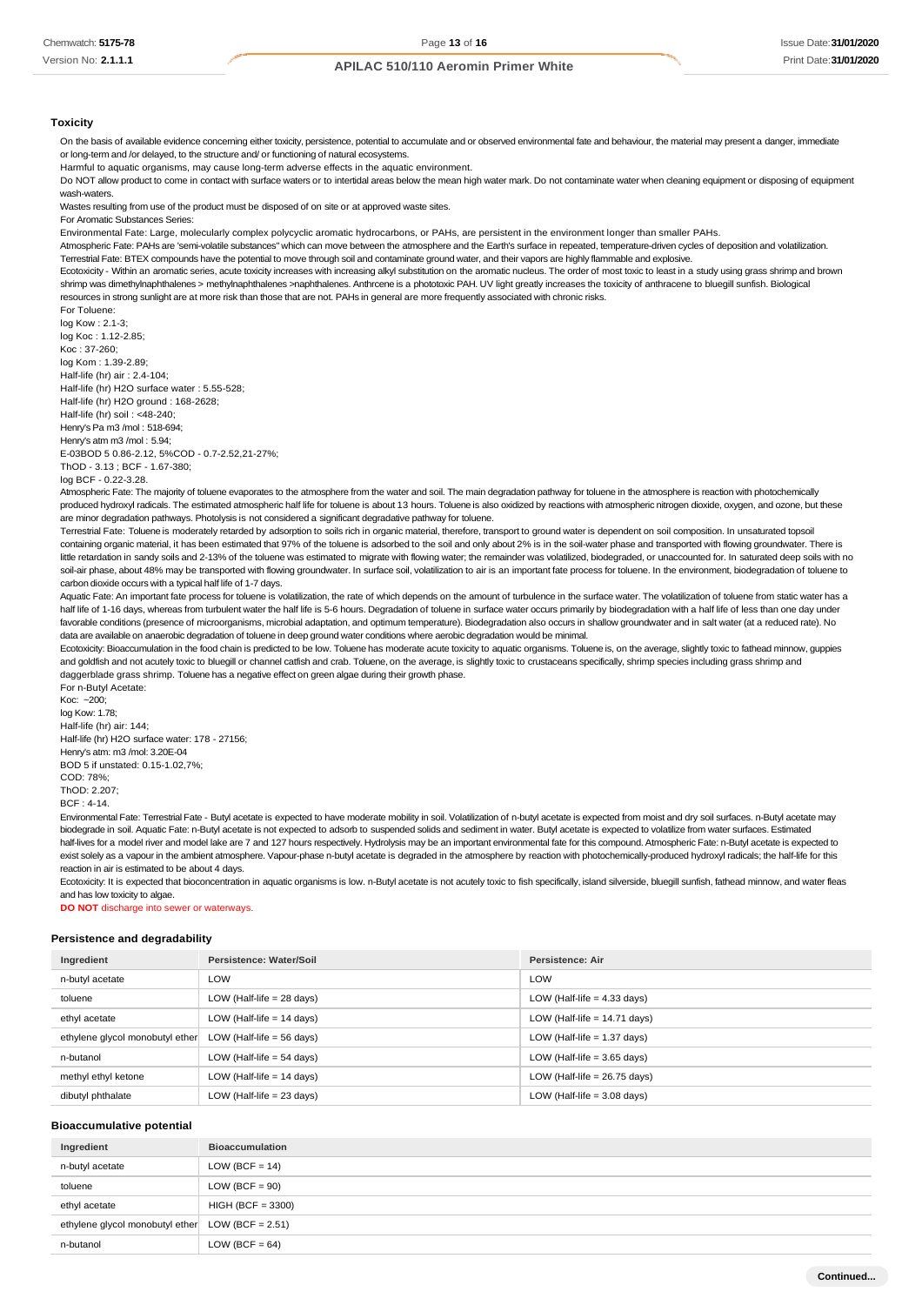#### **Toxicity**

On the basis of available evidence concerning either toxicity, persistence, potential to accumulate and or observed environmental fate and behaviour, the material may present a danger, immediate or long-term and /or delayed, to the structure and/ or functioning of natural ecosystems.

Harmful to aquatic organisms, may cause long-term adverse effects in the aquatic environment.

Do NOT allow product to come in contact with surface waters or to intertidal areas below the mean high water mark. Do not contaminate water when cleaning equipment or disposing of equipment wash-waters.

Wastes resulting from use of the product must be disposed of on site or at approved waste sites

For Aromatic Substances Series:

Environmental Fate: Large, molecularly complex polycyclic aromatic hydrocarbons, or PAHs, are persistent in the environment longer than smaller PAHs.

Atmospheric Fate: PAHs are 'semi-volatile substances" which can move between the atmosphere and the Earth's surface in repeated, temperature-driven cycles of deposition and volatilization.

Terrestrial Fate: BTEX compounds have the potential to move through soil and contaminate ground water, and their vapors are highly flammable and explosive.

Ecotoxicity - Within an aromatic series, acute toxicity increases with increasing alkyl substitution on the aromatic nucleus. The order of most toxic to least in a study using grass shrimp and brown shrimp was dimethylnaphthalenes > methylnaphthalenes >naphthalenes. Anthrcene is a phototoxic PAH. UV light greatly increases the toxicity of anthracene to bluegill sunfish. Biological resources in strong sunlight are at more risk than those that are not. PAHs in general are more frequently associated with chronic risks.

For Toluene: log Kow : 2.1-3;

log Koc : 1.12-2.85; Koc : 37-260; log Kom : 1.39-2.89; Half-life (hr) air : 2.4-104; Half-life (hr) H2O surface water : 5.55-528; Half-life (hr) H2O ground : 168-2628; Half-life (hr) soil : <48-240; Henry's Pa m3 /mol : 518-694; Henry's atm m3 /mol : 5.94; E-03BOD 5 0.86-2.12, 5%COD - 0.7-2.52,21-27%; ThOD - 3.13 ; BCF - 1.67-380;

log BCF - 0.22-3.28.

Atmospheric Fate: The majority of toluene evaporates to the atmosphere from the water and soil. The main degradation pathway for toluene in the atmosphere is reaction with photochemically produced hydroxyl radicals. The estimated atmospheric half life for toluene is about 13 hours. Toluene is also oxidized by reactions with atmospheric nitrogen dioxide, oxygen, and ozone, but these are minor degradation pathways. Photolysis is not considered a significant degradative pathway for toluene.

Terrestrial Fate: Toluene is moderately retarded by adsorption to soils rich in organic material, therefore, transport to ground water is dependent on soil composition. In unsaturated topsoil containing organic material, it has been estimated that 97% of the toluene is adsorbed to the soil and only about 2% is in the soil-water phase and transported with flowing groundwater. There is little retardation in sandy soils and 2-13% of the toluene was estimated to migrate with flowing water; the remainder was volatilized, biodegraded, or unaccounted for. In saturated deep soils with no soil-air phase, about 48% may be transported with flowing groundwater. In surface soil, volatilization to air is an important fate process for toluene. In the environment, biodegradation of toluene to carbon dioxide occurs with a typical half life of 1-7 days.

Aquatic Fate: An important fate process for toluene is volatilization, the rate of which depends on the amount of turbulence in the surface water. The volatilization of toluene from static water has a half life of 1-16 days, whereas from turbulent water the half life is 5-6 hours. Degradation of toluene in surface water occurs primarily by biodegradation with a half life of less than one day under favorable conditions (presence of microorganisms, microbial adaptation, and optimum temperature). Biodegradation also occurs in shallow groundwater and in salt water (at a reduced rate). No data are available on anaerobic degradation of toluene in deep ground water conditions where aerobic degradation would be minimal.

Ecotoxicity: Bioaccumulation in the food chain is predicted to be low. Toluene has moderate acute toxicity to aquatic organisms. Toluene is, on the average, slightly toxic to fathead minnow, guppies and goldfish and not acutely toxic to bluegill or channel catfish and crab. Toluene, on the average, is slightly toxic to crustaceans specifically, shrimp species including grass shrimp and daggerblade grass shrimp. Toluene has a negative effect on green algae during their growth phase. For n-Butyl Acetate:

Koc: ~200; log Kow: 1.78; Half-life (hr) air: 144; Half-life (hr) H2O surface water: 178 - 27156; Henry's atm: m3 /mol: 3.20E-04 BOD 5 if unstated: 0.15-1.02,7%; COD: 78%;  $ThOP: 2.207$ BCF : 4-14.

Environmental Fate: Terrestrial Fate - Butyl acetate is expected to have moderate mobility in soil. Volatilization of n-butyl acetate is expected from moist and dry soil surfaces. n-Butyl acetate may biodegrade in soil. Aquatic Fate: n-Butyl acetate is not expected to adsorb to suspended solids and sediment in water. Butyl acetate is expected to volatilize from water surfaces. Estimated half-lives for a model river and model lake are 7 and 127 hours respectively. Hydrolysis may be an important environmental fate for this compound. Atmospheric Fate: n-Butyl acetate is expected to exist solely as a vapour in the ambient atmosphere. Vapour-phase n-butyl acetate is degraded in the atmosphere by reaction with photochemically-produced hydroxyl radicals; the half-life for this reaction in air is estimated to be about 4 days.

Ecotoxicity: It is expected that bioconcentration in aquatic organisms is low. n-Butyl acetate is not acutely toxic to fish specifically, island silverside, bluegill sunfish, fathead minnow, and water fleas and has low toxicity to algae.

**DO NOT** discharge into sewer or waterways.

#### **Persistence and degradability**

| Ingredient                      | Persistence: Water/Soil     | <b>Persistence: Air</b>        |
|---------------------------------|-----------------------------|--------------------------------|
| n-butyl acetate                 | LOW                         | LOW                            |
| toluene                         | LOW (Half-life $= 28$ days) | LOW (Half-life $=$ 4.33 days)  |
| ethyl acetate                   | LOW (Half-life $= 14$ days) | LOW (Half-life $= 14.71$ days) |
| ethylene glycol monobutyl ether | LOW (Half-life $= 56$ days) | LOW (Half-life $= 1.37$ days)  |
| n-butanol                       | LOW (Half-life $= 54$ days) | LOW (Half-life $=$ 3.65 days)  |
| methyl ethyl ketone             | LOW (Half-life $= 14$ days) | LOW (Half-life $= 26.75$ days) |
| dibutyl phthalate               | LOW (Half-life $= 23$ days) | LOW (Half-life $=$ 3.08 days)  |

#### **Bioaccumulative potential**

| Ingredient                                         | <b>Bioaccumulation</b> |
|----------------------------------------------------|------------------------|
| n-butyl acetate                                    | LOW (BCF = $14$ )      |
| toluene                                            | $LOW (BCF = 90)$       |
| ethyl acetate                                      | $HIGH (BCF = 3300)$    |
| ethylene glycol monobutyl ether $LOW (BCF = 2.51)$ |                        |
| n-butanol                                          | LOW (BCF = $64$ )      |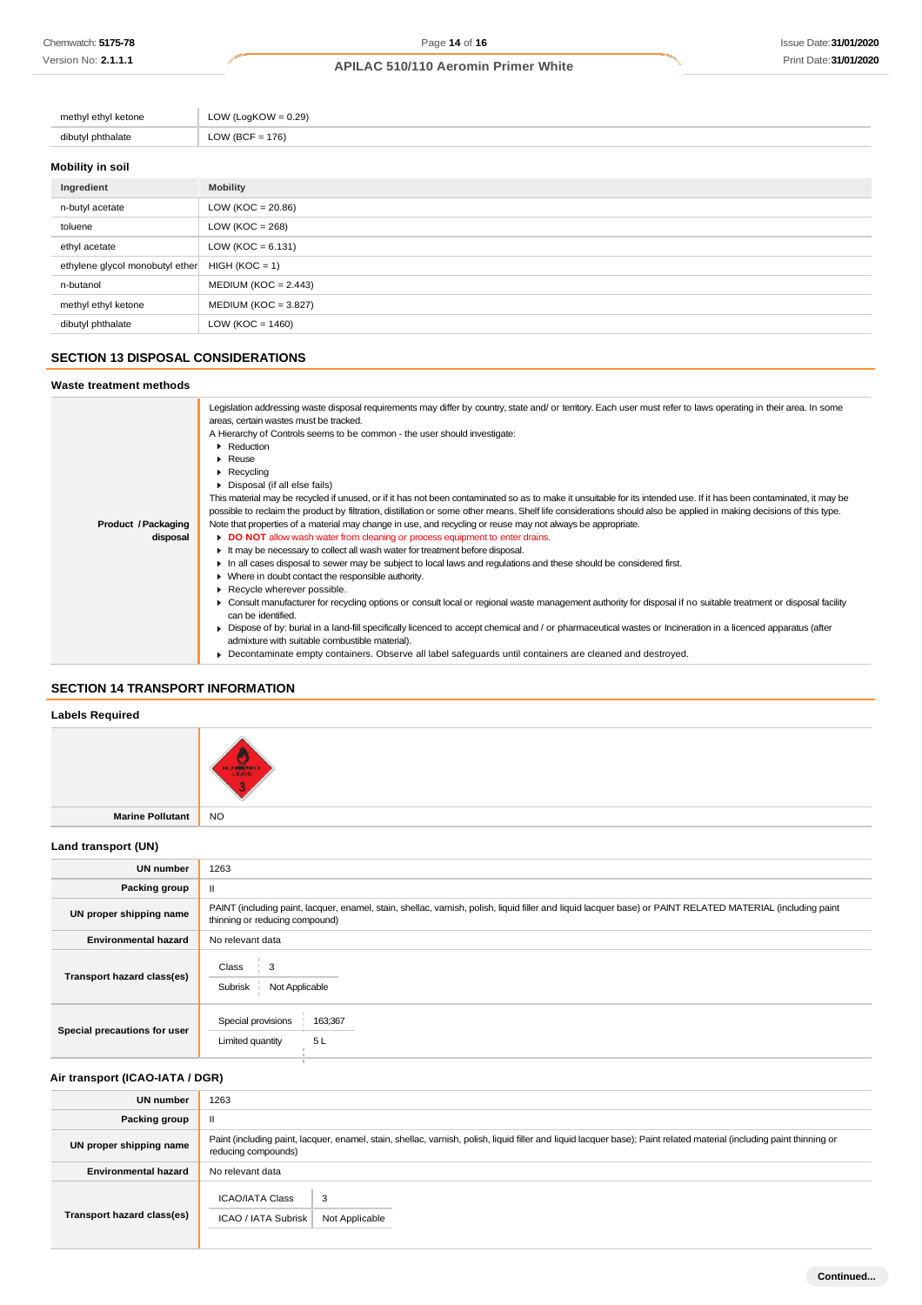| methyl ethyl ketone | LOW (LogKOW = $0.29$ ) |
|---------------------|------------------------|
| dibutyl phthalate   | LOW (BCF = $176$ )     |
|                     |                        |

# **Mobility in soil**

| Ingredient                      | <b>Mobility</b>        |
|---------------------------------|------------------------|
| n-butyl acetate                 | LOW ( $KOC = 20.86$ )  |
| toluene                         | LOW ( $KOC = 268$ )    |
| ethyl acetate                   | LOW ( $KOC = 6.131$ )  |
| ethylene glycol monobutyl ether | $HIGH (KOC = 1)$       |
| n-butanol                       | $MEDIUM (KOC = 2.443)$ |
| methyl ethyl ketone             | $MEDIUM (KOC = 3.827)$ |
| dibutyl phthalate               | LOW ( $KOC = 1460$ )   |

## **SECTION 13 DISPOSAL CONSIDERATIONS**

#### **Waste treatment methods**

|                     | Legislation addressing waste disposal requirements may differ by country, state and/ or territory. Each user must refer to laws operating in their area. In some<br>areas, certain wastes must be tracked.<br>A Hierarchy of Controls seems to be common - the user should investigate:<br>Reduction<br>$\blacktriangleright$ Reuse |
|---------------------|-------------------------------------------------------------------------------------------------------------------------------------------------------------------------------------------------------------------------------------------------------------------------------------------------------------------------------------|
|                     | $\blacktriangleright$ Recycling                                                                                                                                                                                                                                                                                                     |
|                     | Disposal (if all else fails)                                                                                                                                                                                                                                                                                                        |
|                     | This material may be recycled if unused, or if it has not been contaminated so as to make it unsuitable for its intended use. If it has been contaminated, it may be                                                                                                                                                                |
|                     | possible to reclaim the product by filtration, distillation or some other means. Shelf life considerations should also be applied in making decisions of this type.                                                                                                                                                                 |
| Product / Packaging | Note that properties of a material may change in use, and recycling or reuse may not always be appropriate.                                                                                                                                                                                                                         |
| disposal            | DO NOT allow wash water from cleaning or process equipment to enter drains.                                                                                                                                                                                                                                                         |
|                     | It may be necessary to collect all wash water for treatment before disposal.                                                                                                                                                                                                                                                        |
|                     | In all cases disposal to sewer may be subject to local laws and regulations and these should be considered first.                                                                                                                                                                                                                   |
|                     | • Where in doubt contact the responsible authority.                                                                                                                                                                                                                                                                                 |
|                     | Recycle wherever possible.                                                                                                                                                                                                                                                                                                          |
|                     | ► Consult manufacturer for recycling options or consult local or regional waste management authority for disposal if no suitable treatment or disposal facility<br>can be identified.                                                                                                                                               |
|                     | ► Dispose of by: burial in a land-fill specifically licenced to accept chemical and / or pharmaceutical wastes or Incineration in a licenced apparatus (after<br>admixture with suitable combustible material).                                                                                                                     |
|                     | • Decontaminate empty containers. Observe all label safeguards until containers are cleaned and destroyed.                                                                                                                                                                                                                          |

## **SECTION 14 TRANSPORT INFORMATION**

## **Labels Required**

| Labois itoquitoa    |                      |
|---------------------|----------------------|
|                     | 7 ж<br><b>HANGER</b> |
| Marine Pollutant NO |                      |

## **Land transport (UN)**

| <b>UN number</b>             | 1263                                                                                                                                                                                          |  |
|------------------------------|-----------------------------------------------------------------------------------------------------------------------------------------------------------------------------------------------|--|
| Packing group                | Ш                                                                                                                                                                                             |  |
| UN proper shipping name      | PAINT (including paint, lacquer, enamel, stain, shellac, varnish, polish, liquid filler and liquid lacquer base) or PAINT RELATED MATERIAL (including paint<br>thinning or reducing compound) |  |
| <b>Environmental hazard</b>  | No relevant data                                                                                                                                                                              |  |
| Transport hazard class(es)   | Class<br>3<br>Subrisk<br>Not Applicable                                                                                                                                                       |  |
| Special precautions for user | Special provisions<br>163;367<br>5L<br>Limited quantity                                                                                                                                       |  |

## **Air transport (ICAO-IATA / DGR)**

| <b>UN number</b>            | 1263                                                                                                                                                                                         |  |
|-----------------------------|----------------------------------------------------------------------------------------------------------------------------------------------------------------------------------------------|--|
| Packing group               | $\mathbf{I}$                                                                                                                                                                                 |  |
| UN proper shipping name     | Paint (including paint, lacquer, enamel, stain, shellac, varnish, polish, liquid filler and liquid lacquer base); Paint related material (including paint thinning or<br>reducing compounds) |  |
| <b>Environmental hazard</b> | No relevant data                                                                                                                                                                             |  |
| Transport hazard class(es)  | <b>ICAO/IATA Class</b><br>3<br>ICAO / IATA Subrisk<br>Not Applicable                                                                                                                         |  |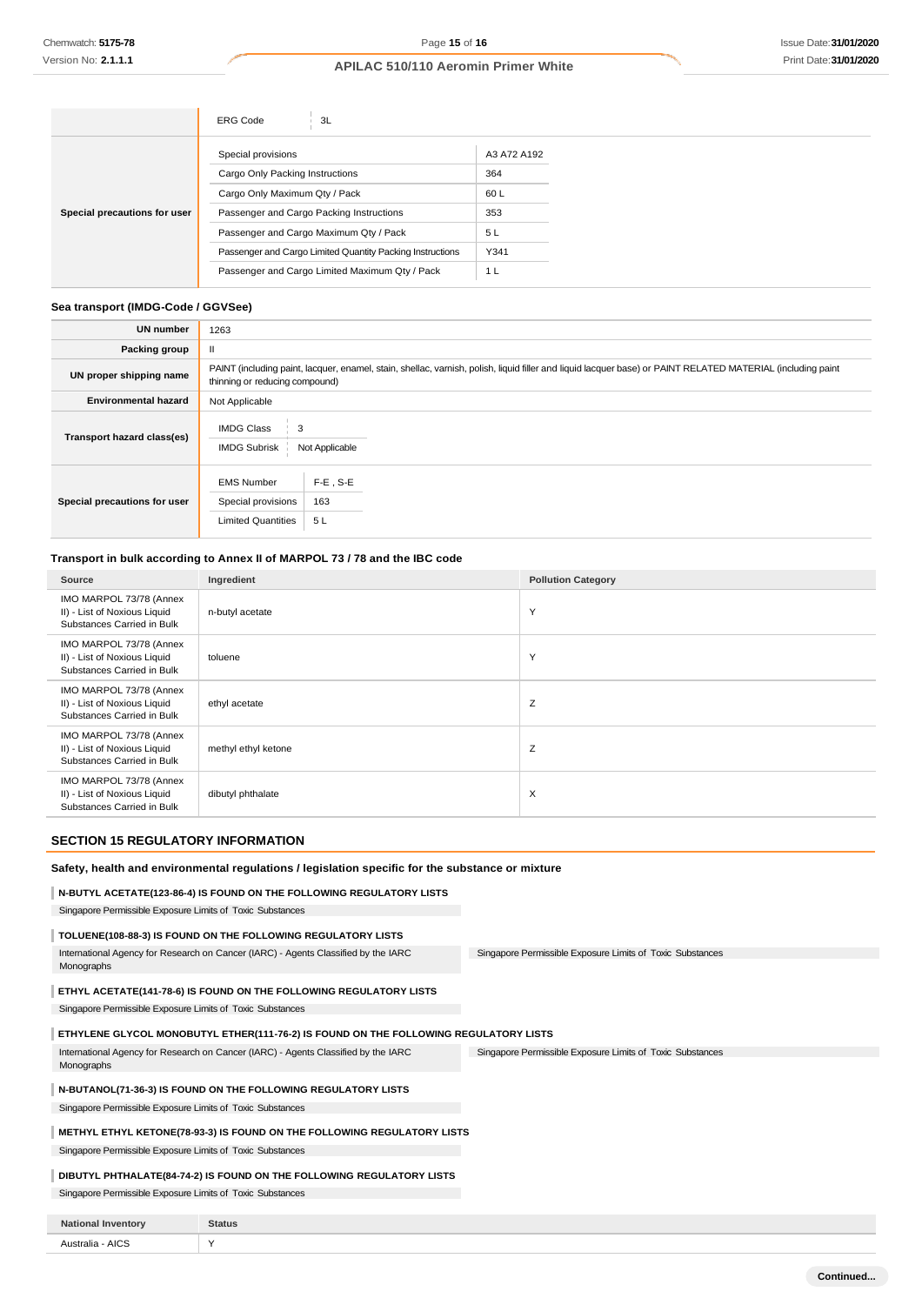|                              | <b>ERG Code</b><br>3L                                     |             |
|------------------------------|-----------------------------------------------------------|-------------|
|                              | Special provisions                                        | A3 A72 A192 |
| Special precautions for user | Cargo Only Packing Instructions                           | 364         |
|                              | Cargo Only Maximum Qty / Pack                             | 60 L        |
|                              | Passenger and Cargo Packing Instructions                  | 353         |
|                              | Passenger and Cargo Maximum Qty / Pack                    | 5L          |
|                              | Passenger and Cargo Limited Quantity Packing Instructions | Y341        |
|                              | Passenger and Cargo Limited Maximum Qty / Pack            | 1 L         |

### **Sea transport (IMDG-Code / GGVSee)**

| <b>UN number</b>             | 1263                                                                                                                                                                                          |  |  |
|------------------------------|-----------------------------------------------------------------------------------------------------------------------------------------------------------------------------------------------|--|--|
| <b>Packing group</b>         |                                                                                                                                                                                               |  |  |
| UN proper shipping name      | PAINT (including paint, lacquer, enamel, stain, shellac, varnish, polish, liquid filler and liquid lacquer base) or PAINT RELATED MATERIAL (including paint<br>thinning or reducing compound) |  |  |
| <b>Environmental hazard</b>  | Not Applicable                                                                                                                                                                                |  |  |
| Transport hazard class(es)   | <b>IMDG Class</b><br><b>IMDG Subrisk</b><br>Not Applicable                                                                                                                                    |  |  |
| Special precautions for user | $F-E$ , S-E<br><b>EMS Number</b><br>163<br>Special provisions<br><b>Limited Quantities</b><br>5L                                                                                              |  |  |

### **Transport in bulk according to Annex II of MARPOL 73 / 78 and the IBC code**

| Source                                                                                | Ingredient          | <b>Pollution Category</b> |
|---------------------------------------------------------------------------------------|---------------------|---------------------------|
| IMO MARPOL 73/78 (Annex<br>II) - List of Noxious Liquid<br>Substances Carried in Bulk | n-butyl acetate     | Y                         |
| IMO MARPOL 73/78 (Annex<br>II) - List of Noxious Liquid<br>Substances Carried in Bulk | toluene             | Y                         |
| IMO MARPOL 73/78 (Annex<br>II) - List of Noxious Liquid<br>Substances Carried in Bulk | ethyl acetate       | Z                         |
| IMO MARPOL 73/78 (Annex<br>II) - List of Noxious Liquid<br>Substances Carried in Bulk | methyl ethyl ketone | Z                         |
| IMO MARPOL 73/78 (Annex<br>II) - List of Noxious Liquid<br>Substances Carried in Bulk | dibutyl phthalate   | X                         |

## **SECTION 15 REGULATORY INFORMATION**

#### **Safety, health and environmental regulations / legislation specific for the substance or mixture**

### **N-BUTYL ACETATE(123-86-4) IS FOUND ON THE FOLLOWING REGULATORY LISTS**

Singapore Permissible Exposure Limits of Toxic Substances

### **TOLUENE(108-88-3) IS FOUND ON THE FOLLOWING REGULATORY LISTS**

Singapore Permissible Exposure Limits of Toxic Substances International Agency for Research on Cancer (IARC) - Agents Classified by the IARC Monographs

### **ETHYL ACETATE(141-78-6) IS FOUND ON THE FOLLOWING REGULATORY LISTS**

Singapore Permissible Exposure Limits of Toxic Substances

#### **ETHYLENE GLYCOL MONOBUTYL ETHER(111-76-2) IS FOUND ON THE FOLLOWING REGULATORY LISTS**

Singapore Permissible Exposure Limits of Toxic Substances International Agency for Research on Cancer (IARC) - Agents Classified by the IARC Monographs

## **N-BUTANOL(71-36-3) IS FOUND ON THE FOLLOWING REGULATORY LISTS**

Singapore Permissible Exposure Limits of Toxic Substances

### **METHYL ETHYL KETONE(78-93-3) IS FOUND ON THE FOLLOWING REGULATORY LISTS**

Singapore Permissible Exposure Limits of Toxic Substances

### **DIBUTYL PHTHALATE(84-74-2) IS FOUND ON THE FOLLOWING REGULATORY LISTS**

Singapore Permissible Exposure Limits of Toxic Substances

| <b>National Inventory</b> | <b>Status</b> |
|---------------------------|---------------|
| Australia - AICS          | $\lambda$     |